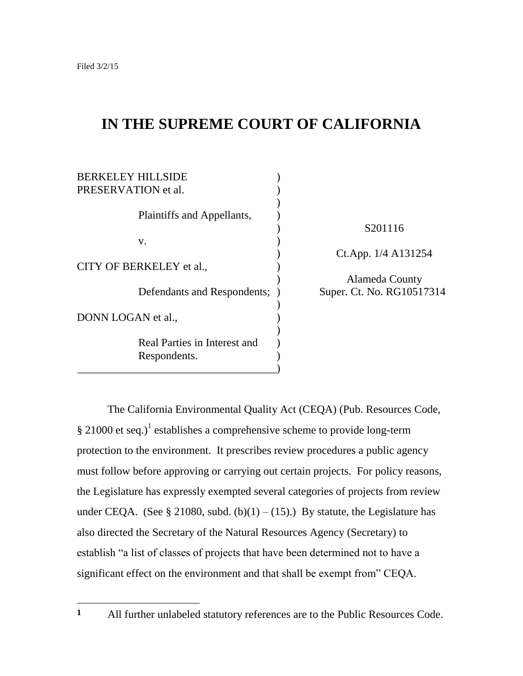$\overline{a}$ 

# **IN THE SUPREME COURT OF CALIFORNIA**

| <b>BERKELEY HILL SIDE</b><br>PRESERVATION et al. |                                             |
|--------------------------------------------------|---------------------------------------------|
| Plaintiffs and Appellants,                       | S201116                                     |
| V.                                               |                                             |
| CITY OF BERKELEY et al.,                         | Ct.App. 1/4 A131254                         |
| Defendants and Respondents; )                    | Alameda County<br>Super. Ct. No. RG10517314 |
| DONN LOGAN et al.,                               |                                             |
| Real Parties in Interest and<br>Respondents.     |                                             |

The California Environmental Quality Act (CEQA) (Pub. Resources Code,  $\S 21000$  et seq.)<sup>1</sup> establishes a comprehensive scheme to provide long-term protection to the environment. It prescribes review procedures a public agency must follow before approving or carrying out certain projects. For policy reasons, the Legislature has expressly exempted several categories of projects from review under CEQA. (See § 21080, subd. (b)(1) – (15).) By statute, the Legislature has also directed the Secretary of the Natural Resources Agency (Secretary) to establish "a list of classes of projects that have been determined not to have a significant effect on the environment and that shall be exempt from" CEOA.

**<sup>1</sup>** All further unlabeled statutory references are to the Public Resources Code.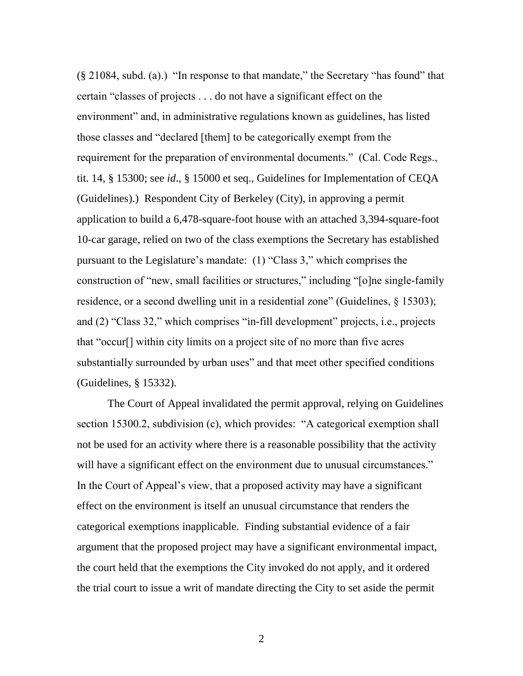$(\S$  21084, subd. (a).) "In response to that mandate," the Secretary "has found" that certain "classes of projects . . . do not have a significant effect on the environment" and, in administrative regulations known as guidelines, has listed those classes and "declared [them] to be categorically exempt from the requirement for the preparation of environmental documents." (Cal. Code Regs., tit. 14, § 15300; see *id*., § 15000 et seq., Guidelines for Implementation of CEQA (Guidelines).) Respondent City of Berkeley (City), in approving a permit application to build a 6,478-square-foot house with an attached 3,394-square-foot 10-car garage, relied on two of the class exemptions the Secretary has established pursuant to the Legislature's mandate:  $(1)$  "Class 3," which comprises the construction of "new, small facilities or structures," including "[o]ne single-family residence, or a second dwelling unit in a residential zone" (Guidelines,  $\S$  15303); and  $(2)$  "Class 32," which comprises "in-fill development" projects, i.e., projects that "occur<sup>[]</sup> within city limits on a project site of no more than five acres substantially surrounded by urban uses" and that meet other specified conditions (Guidelines, § 15332).

The Court of Appeal invalidated the permit approval, relying on Guidelines section 15300.2, subdivision (c), which provides: "A categorical exemption shall not be used for an activity where there is a reasonable possibility that the activity will have a significant effect on the environment due to unusual circumstances." In the Court of Appeal's view, that a proposed activity may have a significant effect on the environment is itself an unusual circumstance that renders the categorical exemptions inapplicable. Finding substantial evidence of a fair argument that the proposed project may have a significant environmental impact, the court held that the exemptions the City invoked do not apply, and it ordered the trial court to issue a writ of mandate directing the City to set aside the permit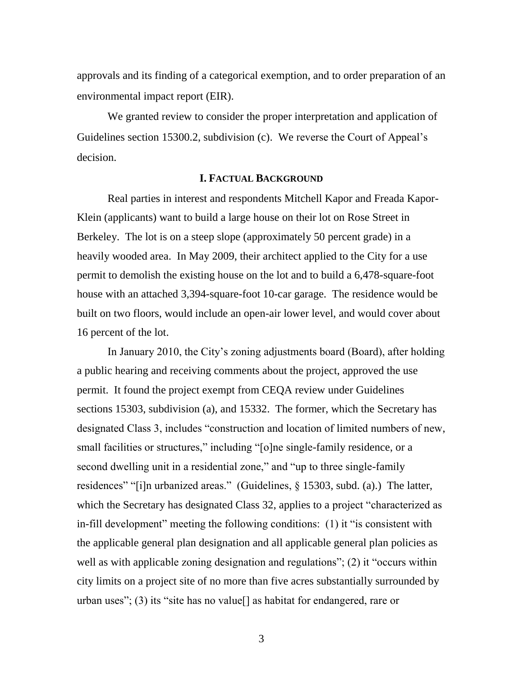approvals and its finding of a categorical exemption, and to order preparation of an environmental impact report (EIR).

We granted review to consider the proper interpretation and application of Guidelines section 15300.2, subdivision (c). We reverse the Court of Appeal's decision.

### **I. FACTUAL BACKGROUND**

Real parties in interest and respondents Mitchell Kapor and Freada Kapor-Klein (applicants) want to build a large house on their lot on Rose Street in Berkeley. The lot is on a steep slope (approximately 50 percent grade) in a heavily wooded area. In May 2009, their architect applied to the City for a use permit to demolish the existing house on the lot and to build a 6,478-square-foot house with an attached 3,394-square-foot 10-car garage. The residence would be built on two floors, would include an open-air lower level, and would cover about 16 percent of the lot.

In January 2010, the City's zoning adjustments board (Board), after holding a public hearing and receiving comments about the project, approved the use permit. It found the project exempt from CEQA review under Guidelines sections 15303, subdivision (a), and 15332. The former, which the Secretary has designated Class 3, includes "construction and location of limited numbers of new, small facilities or structures," including "[o]ne single-family residence, or a second dwelling unit in a residential zone," and "up to three single-family residences" "[i]n urbanized areas." (Guidelines,  $\S$  15303, subd. (a).) The latter, which the Secretary has designated Class 32, applies to a project "characterized as in-fill development" meeting the following conditions:  $(1)$  it "is consistent with the applicable general plan designation and all applicable general plan policies as well as with applicable zoning designation and regulations"; (2) it "occurs within city limits on a project site of no more than five acres substantially surrounded by urban uses"; (3) its "site has no value[] as habitat for endangered, rare or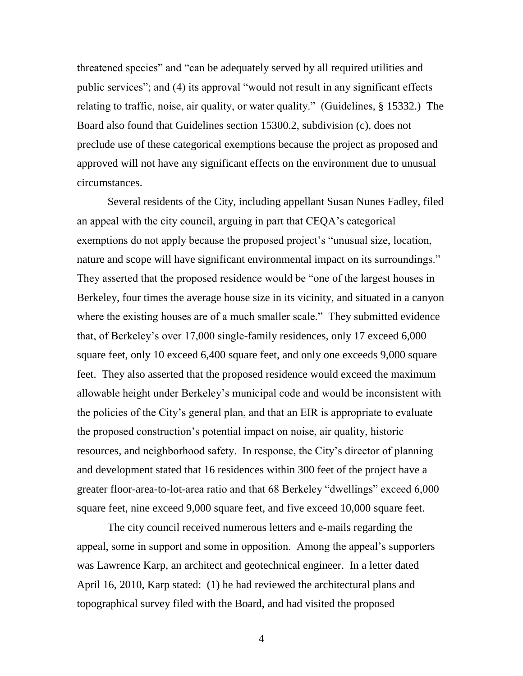threatened species" and "can be adequately served by all required utilities and public services"; and (4) its approval "would not result in any significant effects relating to traffic, noise, air quality, or water quality." (Guidelines,  $\S$  15332.) The Board also found that Guidelines section 15300.2, subdivision (c), does not preclude use of these categorical exemptions because the project as proposed and approved will not have any significant effects on the environment due to unusual circumstances.

Several residents of the City, including appellant Susan Nunes Fadley, filed an appeal with the city council, arguing in part that CEQA's categorical exemptions do not apply because the proposed project's "unusual size, location, nature and scope will have significant environmental impact on its surroundings." They asserted that the proposed residence would be "one of the largest houses in Berkeley, four times the average house size in its vicinity, and situated in a canyon where the existing houses are of a much smaller scale." They submitted evidence that, of Berkeley's over 17,000 single-family residences, only 17 exceed 6,000 square feet, only 10 exceed 6,400 square feet, and only one exceeds 9,000 square feet. They also asserted that the proposed residence would exceed the maximum allowable height under Berkeley's municipal code and would be inconsistent with the policies of the City's general plan, and that an EIR is appropriate to evaluate the proposed construction's potential impact on noise, air quality, historic resources, and neighborhood safety. In response, the City's director of planning and development stated that 16 residences within 300 feet of the project have a greater floor-area-to-lot-area ratio and that 68 Berkeley "dwellings" exceed 6,000 square feet, nine exceed 9,000 square feet, and five exceed 10,000 square feet.

The city council received numerous letters and e-mails regarding the appeal, some in support and some in opposition. Among the appeal's supporters was Lawrence Karp, an architect and geotechnical engineer. In a letter dated April 16, 2010, Karp stated: (1) he had reviewed the architectural plans and topographical survey filed with the Board, and had visited the proposed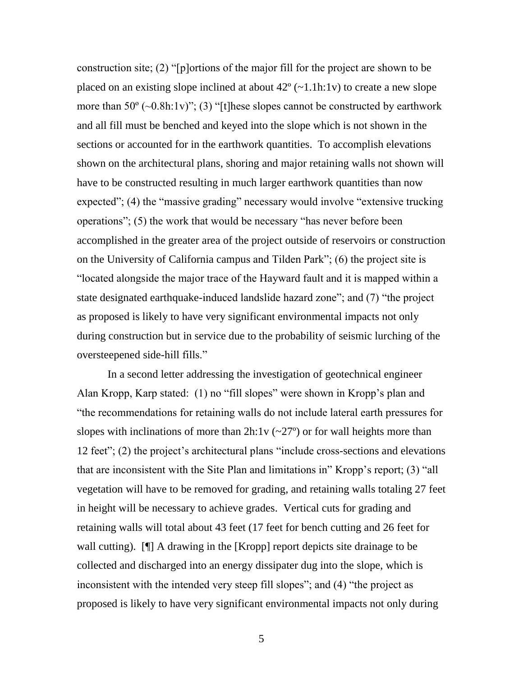construction site; (2) "[p]ortions of the major fill for the project are shown to be placed on an existing slope inclined at about  $42^{\circ}$  (~1.1h:1v) to create a new slope more than  $50^{\circ}$  ( $\sim 0.8$ h:1v)"; (3) "[t]hese slopes cannot be constructed by earthwork and all fill must be benched and keyed into the slope which is not shown in the sections or accounted for in the earthwork quantities. To accomplish elevations shown on the architectural plans, shoring and major retaining walls not shown will have to be constructed resulting in much larger earthwork quantities than now expected"; (4) the "massive grading" necessary would involve "extensive trucking operations"; (5) the work that would be necessary "has never before been accomplished in the greater area of the project outside of reservoirs or construction on the University of California campus and Tilden Park";  $(6)$  the project site is ―located alongside the major trace of the Hayward fault and it is mapped within a state designated earthquake-induced landslide hazard zone"; and (7) "the project as proposed is likely to have very significant environmental impacts not only during construction but in service due to the probability of seismic lurching of the oversteepened side-hill fills."

In a second letter addressing the investigation of geotechnical engineer Alan Kropp, Karp stated:  $(1)$  no "fill slopes" were shown in Kropp's plan and ―the recommendations for retaining walls do not include lateral earth pressures for slopes with inclinations of more than  $2h:1v \left( \frac{270}{2} \right)$  or for wall heights more than 12 feet"; (2) the project's architectural plans "include cross-sections and elevations that are inconsistent with the Site Plan and limitations in" Kropp's report;  $(3)$  "all vegetation will have to be removed for grading, and retaining walls totaling 27 feet in height will be necessary to achieve grades. Vertical cuts for grading and retaining walls will total about 43 feet (17 feet for bench cutting and 26 feet for wall cutting). [I] A drawing in the [Kropp] report depicts site drainage to be collected and discharged into an energy dissipater dug into the slope, which is inconsistent with the intended very steep fill slopes"; and  $(4)$  "the project as proposed is likely to have very significant environmental impacts not only during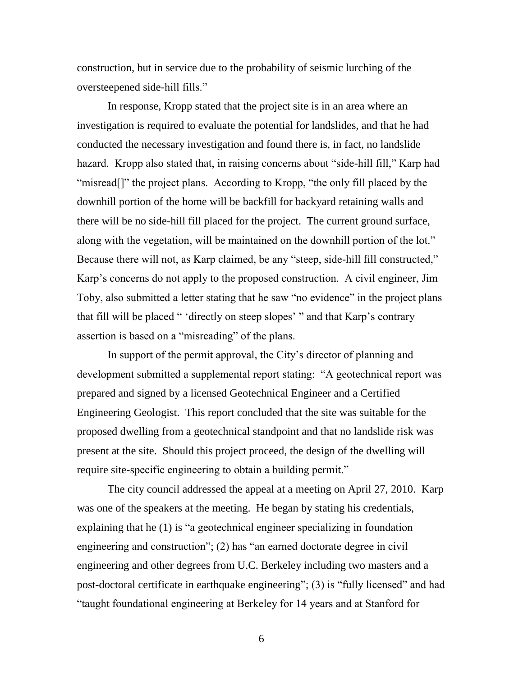construction, but in service due to the probability of seismic lurching of the oversteepened side-hill fills."

In response, Kropp stated that the project site is in an area where an investigation is required to evaluate the potential for landslides, and that he had conducted the necessary investigation and found there is, in fact, no landslide hazard. Kropp also stated that, in raising concerns about "side-hill fill," Karp had "misread<sup>[]"</sup> the project plans. According to Kropp, "the only fill placed by the downhill portion of the home will be backfill for backyard retaining walls and there will be no side-hill fill placed for the project. The current ground surface, along with the vegetation, will be maintained on the downhill portion of the lot." Because there will not, as Karp claimed, be any "steep, side-hill fill constructed," Karp's concerns do not apply to the proposed construction. A civil engineer, Jim Toby, also submitted a letter stating that he saw "no evidence" in the project plans that fill will be placed " 'directly on steep slopes' " and that Karp's contrary assertion is based on a "misreading" of the plans.

In support of the permit approval, the City's director of planning and development submitted a supplemental report stating: "A geotechnical report was prepared and signed by a licensed Geotechnical Engineer and a Certified Engineering Geologist. This report concluded that the site was suitable for the proposed dwelling from a geotechnical standpoint and that no landslide risk was present at the site. Should this project proceed, the design of the dwelling will require site-specific engineering to obtain a building permit."

The city council addressed the appeal at a meeting on April 27, 2010. Karp was one of the speakers at the meeting. He began by stating his credentials, explaining that he  $(1)$  is "a geotechnical engineer specializing in foundation engineering and construction"; (2) has "an earned doctorate degree in civil engineering and other degrees from U.C. Berkeley including two masters and a post-doctoral certificate in earthquake engineering"; (3) is "fully licensed" and had ―taught foundational engineering at Berkeley for 14 years and at Stanford for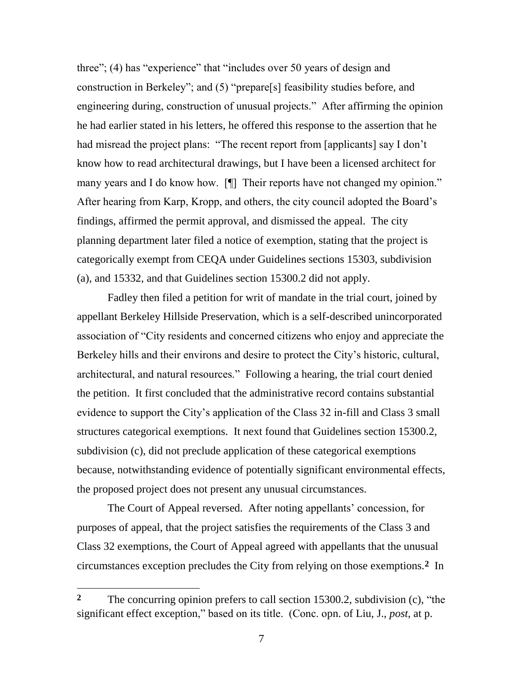three";  $(4)$  has "experience" that "includes over 50 years of design and construction in Berkeley"; and  $(5)$  "prepare[s] feasibility studies before, and engineering during, construction of unusual projects." After affirming the opinion he had earlier stated in his letters, he offered this response to the assertion that he had misread the project plans: "The recent report from [applicants] say I don't know how to read architectural drawings, but I have been a licensed architect for many years and I do know how. [I] Their reports have not changed my opinion." After hearing from Karp, Kropp, and others, the city council adopted the Board's findings, affirmed the permit approval, and dismissed the appeal. The city planning department later filed a notice of exemption, stating that the project is categorically exempt from CEQA under Guidelines sections 15303, subdivision (a), and 15332, and that Guidelines section 15300.2 did not apply.

Fadley then filed a petition for writ of mandate in the trial court, joined by appellant Berkeley Hillside Preservation, which is a self-described unincorporated association of "City residents and concerned citizens who enjoy and appreciate the Berkeley hills and their environs and desire to protect the City's historic, cultural, architectural, and natural resources." Following a hearing, the trial court denied the petition. It first concluded that the administrative record contains substantial evidence to support the City's application of the Class 32 in-fill and Class 3 small structures categorical exemptions. It next found that Guidelines section 15300.2, subdivision (c), did not preclude application of these categorical exemptions because, notwithstanding evidence of potentially significant environmental effects, the proposed project does not present any unusual circumstances.

The Court of Appeal reversed. After noting appellants' concession, for purposes of appeal, that the project satisfies the requirements of the Class 3 and Class 32 exemptions, the Court of Appeal agreed with appellants that the unusual circumstances exception precludes the City from relying on those exemptions.**2** In

 $\overline{a}$ 

**<sup>2</sup>** The concurring opinion prefers to call section 15300.2, subdivision (c), "the significant effect exception," based on its title. (Conc. opn. of Liu, J., *post*, at p.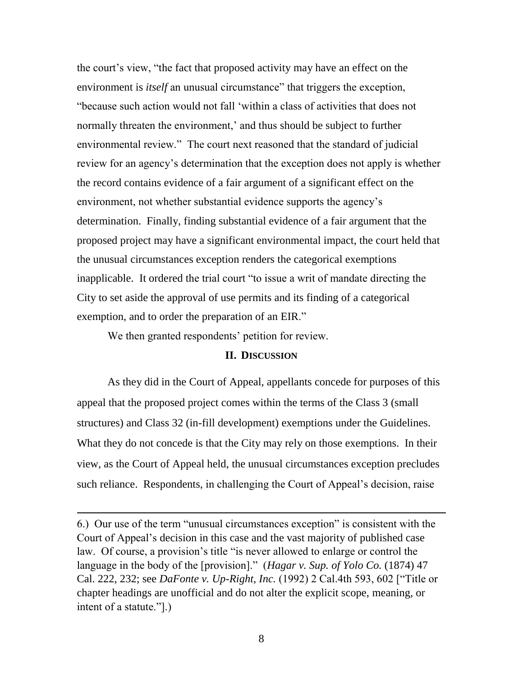the court's view, "the fact that proposed activity may have an effect on the environment is *itself* an unusual circumstance" that triggers the exception, ―because such action would not fall ‗within a class of activities that does not normally threaten the environment,' and thus should be subject to further environmental review." The court next reasoned that the standard of judicial review for an agency's determination that the exception does not apply is whether the record contains evidence of a fair argument of a significant effect on the environment, not whether substantial evidence supports the agency's determination. Finally, finding substantial evidence of a fair argument that the proposed project may have a significant environmental impact, the court held that the unusual circumstances exception renders the categorical exemptions inapplicable. It ordered the trial court "to issue a writ of mandate directing the City to set aside the approval of use permits and its finding of a categorical exemption, and to order the preparation of an EIR."

We then granted respondents' petition for review.

 $\overline{\phantom{a}}$ 

# **II. DISCUSSION**

As they did in the Court of Appeal, appellants concede for purposes of this appeal that the proposed project comes within the terms of the Class 3 (small structures) and Class 32 (in-fill development) exemptions under the Guidelines. What they do not concede is that the City may rely on those exemptions. In their view, as the Court of Appeal held, the unusual circumstances exception precludes such reliance. Respondents, in challenging the Court of Appeal's decision, raise

6.) Our use of the term "unusual circumstances exception" is consistent with the Court of Appeal's decision in this case and the vast majority of published case law. Of course, a provision's title "is never allowed to enlarge or control the language in the body of the [provision]." (*Hagar v. Sup. of Yolo Co.* (1874) 47 Cal. 222, 232; see *DaFonte v. Up-Right, Inc.* (1992) 2 Cal.4th 593, 602 ["Title or chapter headings are unofficial and do not alter the explicit scope, meaning, or intent of a statute." $]$ .)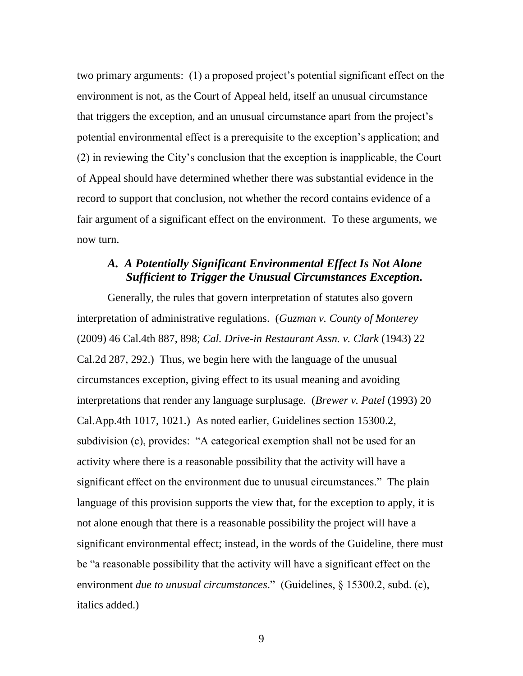two primary arguments: (1) a proposed project's potential significant effect on the environment is not, as the Court of Appeal held, itself an unusual circumstance that triggers the exception, and an unusual circumstance apart from the project's potential environmental effect is a prerequisite to the exception's application; and (2) in reviewing the City's conclusion that the exception is inapplicable, the Court of Appeal should have determined whether there was substantial evidence in the record to support that conclusion, not whether the record contains evidence of a fair argument of a significant effect on the environment. To these arguments, we now turn.

# *A. A Potentially Significant Environmental Effect Is Not Alone Sufficient to Trigger the Unusual Circumstances Exception.*

Generally, the rules that govern interpretation of statutes also govern interpretation of administrative regulations. (*Guzman v. County of Monterey* (2009) 46 Cal.4th 887, 898; *Cal. Drive-in Restaurant Assn. v. Clark* (1943) 22 Cal.2d 287, 292.) Thus, we begin here with the language of the unusual circumstances exception, giving effect to its usual meaning and avoiding interpretations that render any language surplusage. (*Brewer v. Patel* (1993) 20 Cal.App.4th 1017, 1021.) As noted earlier, Guidelines section 15300.2, subdivision (c), provides: "A categorical exemption shall not be used for an activity where there is a reasonable possibility that the activity will have a significant effect on the environment due to unusual circumstances." The plain language of this provision supports the view that, for the exception to apply, it is not alone enough that there is a reasonable possibility the project will have a significant environmental effect; instead, in the words of the Guideline, there must be "a reasonable possibility that the activity will have a significant effect on the environment *due to unusual circumstances*." (Guidelines, § 15300.2, subd. (c), italics added.)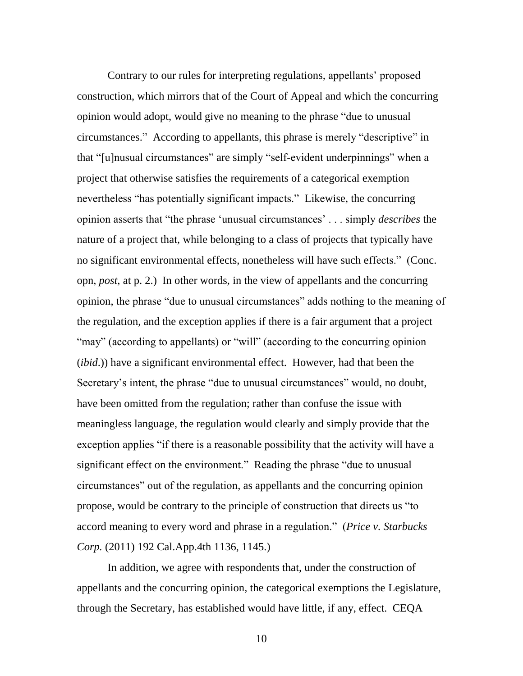Contrary to our rules for interpreting regulations, appellants' proposed construction, which mirrors that of the Court of Appeal and which the concurring opinion would adopt, would give no meaning to the phrase "due to unusual circumstances." According to appellants, this phrase is merely "descriptive" in that "[u]nusual circumstances" are simply "self-evident underpinnings" when a project that otherwise satisfies the requirements of a categorical exemption nevertheless "has potentially significant impacts." Likewise, the concurring opinion asserts that "the phrase 'unusual circumstances' . . . simply *describes* the nature of a project that, while belonging to a class of projects that typically have no significant environmental effects, nonetheless will have such effects." (Conc. opn, *post*, at p. 2.) In other words, in the view of appellants and the concurring opinion, the phrase "due to unusual circumstances" adds nothing to the meaning of the regulation, and the exception applies if there is a fair argument that a project "may" (according to appellants) or "will" (according to the concurring opinion (*ibid*.)) have a significant environmental effect. However, had that been the Secretary's intent, the phrase "due to unusual circumstances" would, no doubt, have been omitted from the regulation; rather than confuse the issue with meaningless language, the regulation would clearly and simply provide that the exception applies "if there is a reasonable possibility that the activity will have a significant effect on the environment." Reading the phrase "due to unusual circumstances" out of the regulation, as appellants and the concurring opinion propose, would be contrary to the principle of construction that directs us "to accord meaning to every word and phrase in a regulation.‖ (*Price v. Starbucks Corp.* (2011) 192 Cal.App.4th 1136, 1145.)

In addition, we agree with respondents that, under the construction of appellants and the concurring opinion, the categorical exemptions the Legislature, through the Secretary, has established would have little, if any, effect. CEQA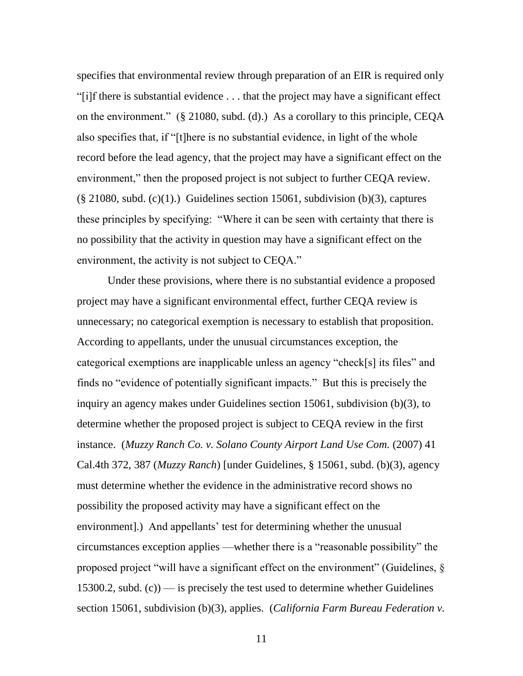specifies that environmental review through preparation of an EIR is required only ―[i]f there is substantial evidence . . . that the project may have a significant effect on the environment." (§ 21080, subd. (d).) As a corollary to this principle, CEQA also specifies that, if "[t]here is no substantial evidence, in light of the whole record before the lead agency, that the project may have a significant effect on the environment," then the proposed project is not subject to further CEQA review.  $(\S 21080, \text{subd. (c)}(1))$  Guidelines section 15061, subdivision (b)(3), captures these principles by specifying: "Where it can be seen with certainty that there is no possibility that the activity in question may have a significant effect on the environment, the activity is not subject to CEQA."

Under these provisions, where there is no substantial evidence a proposed project may have a significant environmental effect, further CEQA review is unnecessary; no categorical exemption is necessary to establish that proposition. According to appellants, under the unusual circumstances exception, the categorical exemptions are inapplicable unless an agency "check[s] its files" and finds no "evidence of potentially significant impacts." But this is precisely the inquiry an agency makes under Guidelines section 15061, subdivision (b)(3), to determine whether the proposed project is subject to CEQA review in the first instance. (*Muzzy Ranch Co. v. Solano County Airport Land Use Com.* (2007) 41 Cal.4th 372, 387 (*Muzzy Ranch*) [under Guidelines, § 15061, subd. (b)(3), agency must determine whether the evidence in the administrative record shows no possibility the proposed activity may have a significant effect on the environment].) And appellants' test for determining whether the unusual circumstances exception applies —whether there is a "reasonable possibility" the proposed project "will have a significant effect on the environment" (Guidelines,  $\S$ 15300.2, subd.  $(c)$  — is precisely the test used to determine whether Guidelines section 15061, subdivision (b)(3), applies. (*California Farm Bureau Federation v.*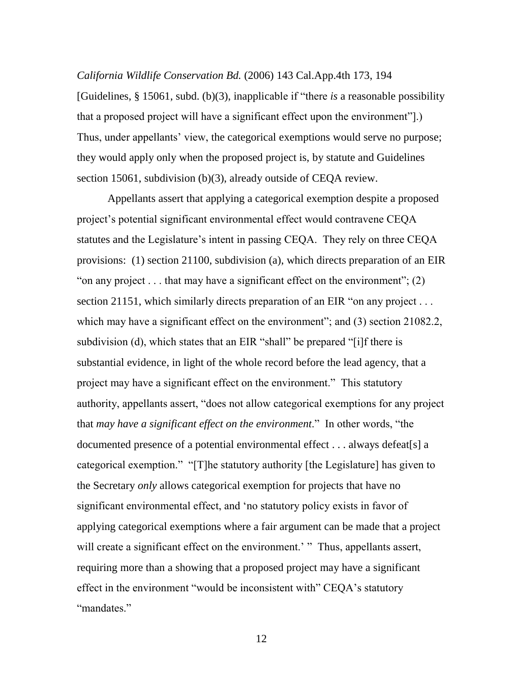## *California Wildlife Conservation Bd.* (2006) 143 Cal.App.4th 173, 194

[Guidelines, § 15061, subd. (b)(3), inapplicable if "there *is* a reasonable possibility that a proposed project will have a significant effect upon the environment".) Thus, under appellants' view, the categorical exemptions would serve no purpose; they would apply only when the proposed project is, by statute and Guidelines section 15061, subdivision (b)(3), already outside of CEQA review.

Appellants assert that applying a categorical exemption despite a proposed project's potential significant environmental effect would contravene CEQA statutes and the Legislature's intent in passing CEQA. They rely on three CEQA provisions: (1) section 21100, subdivision (a), which directs preparation of an EIR " on any project  $\dots$  that may have a significant effect on the environment"; (2) section 21151, which similarly directs preparation of an EIR "on any project  $\dots$ which may have a significant effect on the environment"; and  $(3)$  section 21082.2, subdivision (d), which states that an EIR "shall" be prepared "[i]f there is substantial evidence, in light of the whole record before the lead agency, that a project may have a significant effect on the environment." This statutory authority, appellants assert, "does not allow categorical exemptions for any project that *may have a significant effect on the environment*." In other words, "the documented presence of a potential environmental effect . . . always defeat[s] a categorical exemption." "[T]he statutory authority [the Legislature] has given to the Secretary *only* allows categorical exemption for projects that have no significant environmental effect, and 'no statutory policy exists in favor of applying categorical exemptions where a fair argument can be made that a project will create a significant effect on the environment.' "Thus, appellants assert, requiring more than a showing that a proposed project may have a significant effect in the environment "would be inconsistent with" CEQA's statutory "mandates."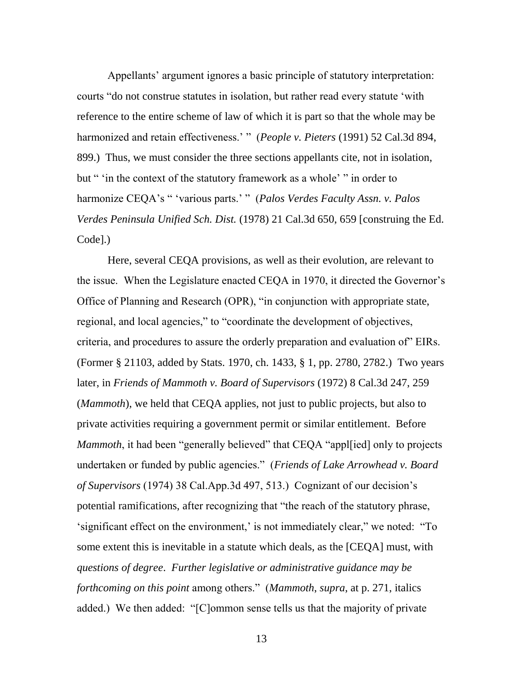Appellants' argument ignores a basic principle of statutory interpretation: courts "do not construe statutes in isolation, but rather read every statute 'with reference to the entire scheme of law of which it is part so that the whole may be harmonized and retain effectiveness.' " (*People v. Pieters* (1991) 52 Cal.3d 894, 899.) Thus, we must consider the three sections appellants cite, not in isolation, but " 'in the context of the statutory framework as a whole' " in order to harmonize CEQA's " 'various parts.' " (*Palos Verdes Faculty Assn. v. Palos Verdes Peninsula Unified Sch. Dist.* (1978) 21 Cal.3d 650, 659 [construing the Ed. Code].)

Here, several CEQA provisions, as well as their evolution, are relevant to the issue. When the Legislature enacted CEQA in 1970, it directed the Governor's Office of Planning and Research (OPR), "in conjunction with appropriate state, regional, and local agencies," to "coordinate the development of objectives, criteria, and procedures to assure the orderly preparation and evaluation of" EIRs. (Former § 21103, added by Stats. 1970, ch. 1433, § 1, pp. 2780, 2782.) Two years later, in *Friends of Mammoth v. Board of Supervisors* (1972) 8 Cal.3d 247, 259 (*Mammoth*), we held that CEQA applies, not just to public projects, but also to private activities requiring a government permit or similar entitlement. Before *Mammoth*, it had been "generally believed" that CEQA "appled only to projects undertaken or funded by public agencies.‖ (*Friends of Lake Arrowhead v. Board of Supervisors* (1974) 38 Cal.App.3d 497, 513.) Cognizant of our decision's potential ramifications, after recognizing that "the reach of the statutory phrase, 'significant effect on the environment,' is not immediately clear," we noted: "To some extent this is inevitable in a statute which deals, as the [CEQA] must, with *questions of degree*. *Further legislative or administrative guidance may be forthcoming on this point* among others.‖ (*Mammoth*, *supra*, at p. 271, italics added.) We then added: "[C]ommon sense tells us that the majority of private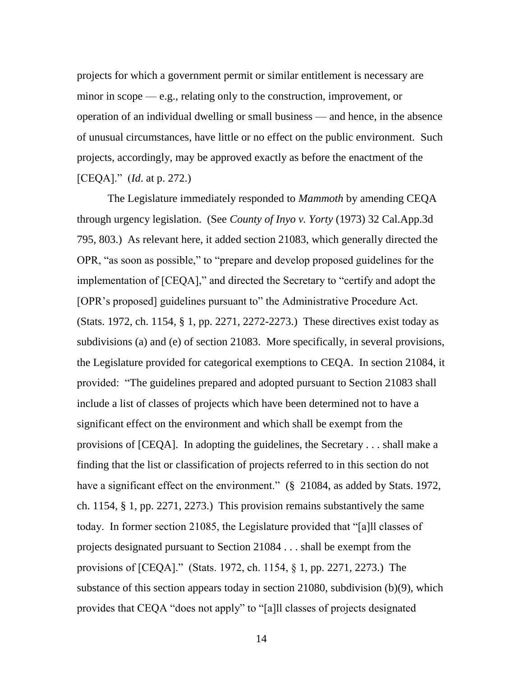projects for which a government permit or similar entitlement is necessary are minor in scope — e.g., relating only to the construction, improvement, or operation of an individual dwelling or small business — and hence, in the absence of unusual circumstances, have little or no effect on the public environment. Such projects, accordingly, may be approved exactly as before the enactment of the [CEQA].‖ (*Id*. at p. 272.)

The Legislature immediately responded to *Mammoth* by amending CEQA through urgency legislation. (See *County of Inyo v. Yorty* (1973) 32 Cal.App.3d 795, 803.) As relevant here, it added section 21083, which generally directed the OPR, "as soon as possible," to "prepare and develop proposed guidelines for the implementation of [CEQA]," and directed the Secretary to "certify and adopt the [OPR's proposed] guidelines pursuant to" the Administrative Procedure Act. (Stats. 1972, ch. 1154, § 1, pp. 2271, 2272-2273.) These directives exist today as subdivisions (a) and (e) of section 21083. More specifically, in several provisions, the Legislature provided for categorical exemptions to CEQA. In section 21084, it provided: "The guidelines prepared and adopted pursuant to Section 21083 shall include a list of classes of projects which have been determined not to have a significant effect on the environment and which shall be exempt from the provisions of [CEQA]. In adopting the guidelines, the Secretary . . . shall make a finding that the list or classification of projects referred to in this section do not have a significant effect on the environment." (§ 21084, as added by Stats. 1972, ch. 1154, § 1, pp. 2271, 2273.) This provision remains substantively the same today. In former section 21085, the Legislature provided that "[a]ll classes of projects designated pursuant to Section 21084 . . . shall be exempt from the provisions of  $[CEQA]$ ." (Stats. 1972, ch. 1154, § 1, pp. 2271, 2273.) The substance of this section appears today in section 21080, subdivision (b)(9), which provides that CEQA "does not apply" to "[a]ll classes of projects designated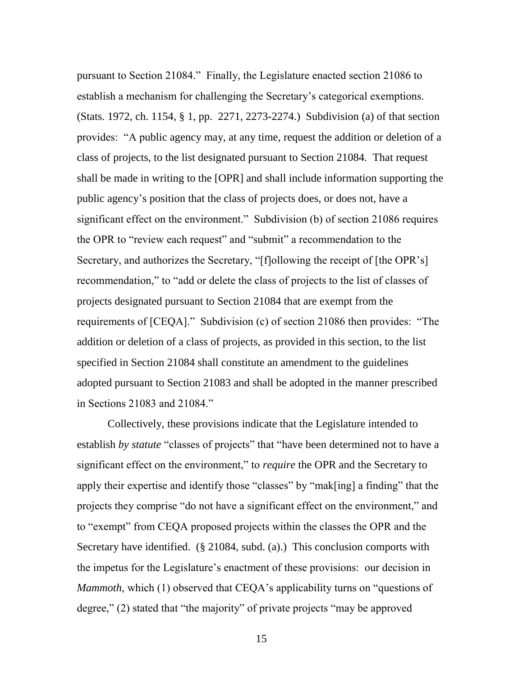pursuant to Section 21084.‖ Finally, the Legislature enacted section 21086 to establish a mechanism for challenging the Secretary's categorical exemptions. (Stats. 1972, ch. 1154, § 1, pp. 2271, 2273-2274.) Subdivision (a) of that section provides: "A public agency may, at any time, request the addition or deletion of a class of projects, to the list designated pursuant to Section 21084. That request shall be made in writing to the [OPR] and shall include information supporting the public agency's position that the class of projects does, or does not, have a significant effect on the environment." Subdivision (b) of section 21086 requires the OPR to "review each request" and "submit" a recommendation to the Secretary, and authorizes the Secretary, "[f]ollowing the receipt of [the OPR's] recommendation," to "add or delete the class of projects to the list of classes of projects designated pursuant to Section 21084 that are exempt from the requirements of  $[CEQA]$ ." Subdivision (c) of section 21086 then provides: "The addition or deletion of a class of projects, as provided in this section, to the list specified in Section 21084 shall constitute an amendment to the guidelines adopted pursuant to Section 21083 and shall be adopted in the manner prescribed in Sections 21083 and 21084."

Collectively, these provisions indicate that the Legislature intended to establish *by statute* "classes of projects" that "have been determined not to have a significant effect on the environment," to *require* the OPR and the Secretary to apply their expertise and identify those "classes" by "mak[ing] a finding" that the projects they comprise "do not have a significant effect on the environment," and to "exempt" from CEQA proposed projects within the classes the OPR and the Secretary have identified. (§ 21084, subd. (a).) This conclusion comports with the impetus for the Legislature's enactment of these provisions: our decision in *Mammoth*, which (1) observed that CEQA's applicability turns on "questions of degree," (2) stated that "the majority" of private projects "may be approved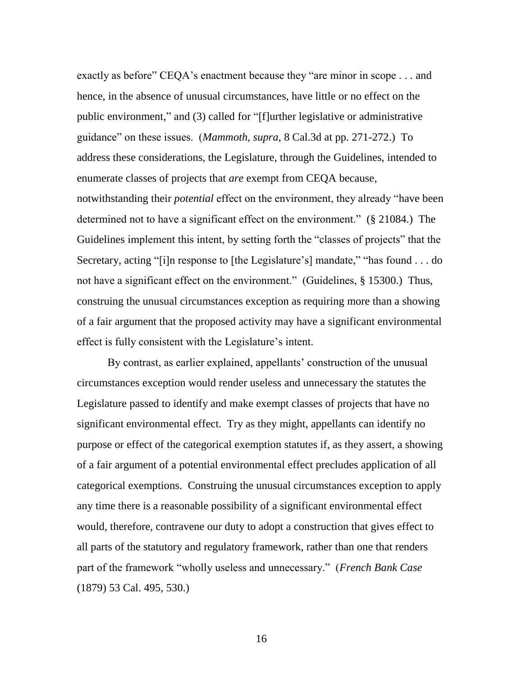exactly as before" CEQA's enactment because they "are minor in scope  $\dots$  and hence, in the absence of unusual circumstances, have little or no effect on the public environment," and (3) called for "[f]urther legislative or administrative guidance‖ on these issues. (*Mammoth*, *supra*, 8 Cal.3d at pp. 271-272.) To address these considerations, the Legislature, through the Guidelines, intended to enumerate classes of projects that *are* exempt from CEQA because, notwithstanding their *potential* effect on the environment, they already "have been determined not to have a significant effect on the environment." (§ 21084.) The Guidelines implement this intent, by setting forth the "classes of projects" that the Secretary, acting "[i]n response to [the Legislature's] mandate," "has found . . . do not have a significant effect on the environment." (Guidelines, § 15300.) Thus, construing the unusual circumstances exception as requiring more than a showing of a fair argument that the proposed activity may have a significant environmental effect is fully consistent with the Legislature's intent.

By contrast, as earlier explained, appellants' construction of the unusual circumstances exception would render useless and unnecessary the statutes the Legislature passed to identify and make exempt classes of projects that have no significant environmental effect. Try as they might, appellants can identify no purpose or effect of the categorical exemption statutes if, as they assert, a showing of a fair argument of a potential environmental effect precludes application of all categorical exemptions. Construing the unusual circumstances exception to apply any time there is a reasonable possibility of a significant environmental effect would, therefore, contravene our duty to adopt a construction that gives effect to all parts of the statutory and regulatory framework, rather than one that renders part of the framework "wholly useless and unnecessary." (*French Bank Case*) (1879) 53 Cal. 495, 530.)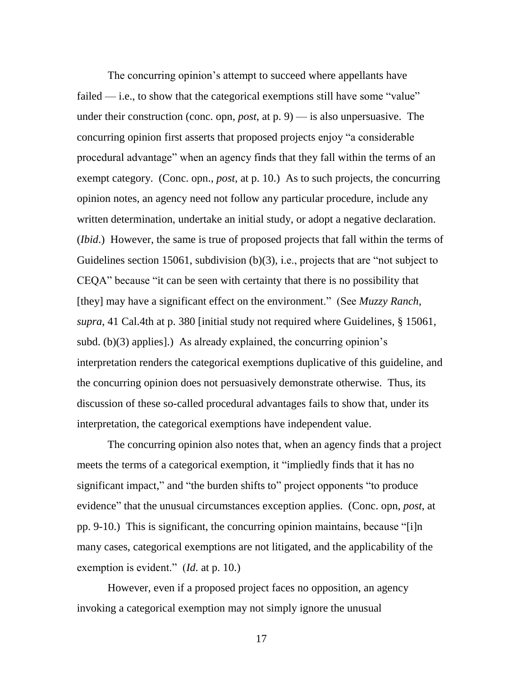The concurring opinion's attempt to succeed where appellants have failed — i.e., to show that the categorical exemptions still have some "value" under their construction (conc. opn, *post*, at p. 9) — is also unpersuasive. The concurring opinion first asserts that proposed projects enjoy "a considerable procedural advantage" when an agency finds that they fall within the terms of an exempt category. (Conc. opn., *post*, at p. 10.) As to such projects, the concurring opinion notes, an agency need not follow any particular procedure, include any written determination, undertake an initial study, or adopt a negative declaration. (*Ibid*.) However, the same is true of proposed projects that fall within the terms of Guidelines section 15061, subdivision  $(b)(3)$ , i.e., projects that are "not subject to CEQA" because "it can be seen with certainty that there is no possibility that [they] may have a significant effect on the environment." (See *Muzzy Ranch*, *supra*, 41 Cal.4th at p. 380 [initial study not required where Guidelines, § 15061, subd. (b)(3) applies].) As already explained, the concurring opinion's interpretation renders the categorical exemptions duplicative of this guideline, and the concurring opinion does not persuasively demonstrate otherwise. Thus, its discussion of these so-called procedural advantages fails to show that, under its interpretation, the categorical exemptions have independent value.

The concurring opinion also notes that, when an agency finds that a project meets the terms of a categorical exemption, it "impliedly finds that it has no significant impact," and "the burden shifts to" project opponents "to produce evidence" that the unusual circumstances exception applies. (Conc. opn, *post*, at pp. 9-10.) This is significant, the concurring opinion maintains, because "[i]n many cases, categorical exemptions are not litigated, and the applicability of the exemption is evident." (*Id.* at p. 10.)

However, even if a proposed project faces no opposition, an agency invoking a categorical exemption may not simply ignore the unusual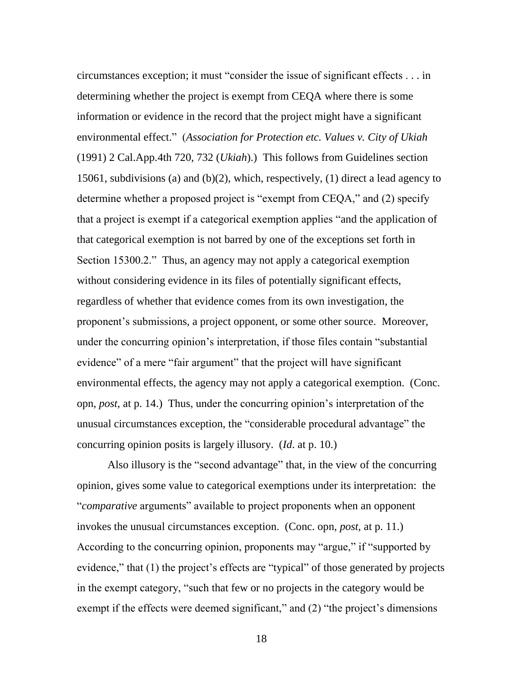$circumstances exception; it must "consider the issue of significant effects ... in$ determining whether the project is exempt from CEQA where there is some information or evidence in the record that the project might have a significant environmental effect.‖ (*Association for Protection etc. Values v. City of Ukiah* (1991) 2 Cal.App.4th 720, 732 (*Ukiah*).) This follows from Guidelines section 15061, subdivisions (a) and (b)(2), which, respectively, (1) direct a lead agency to determine whether a proposed project is "exempt from CEQA," and (2) specify that a project is exempt if a categorical exemption applies "and the application of that categorical exemption is not barred by one of the exceptions set forth in Section 15300.2." Thus, an agency may not apply a categorical exemption without considering evidence in its files of potentially significant effects, regardless of whether that evidence comes from its own investigation, the proponent's submissions, a project opponent, or some other source. Moreover, under the concurring opinion's interpretation, if those files contain "substantial" evidence" of a mere "fair argument" that the project will have significant environmental effects, the agency may not apply a categorical exemption. (Conc. opn, *post*, at p. 14.) Thus, under the concurring opinion's interpretation of the unusual circumstances exception, the "considerable procedural advantage" the concurring opinion posits is largely illusory. (*Id*. at p. 10.)

Also illusory is the "second advantage" that, in the view of the concurring opinion, gives some value to categorical exemptions under its interpretation: the "*comparative* arguments" available to project proponents when an opponent invokes the unusual circumstances exception. (Conc. opn, *post*, at p. 11.) According to the concurring opinion, proponents may "argue," if "supported by evidence," that  $(1)$  the project's effects are "typical" of those generated by projects in the exempt category, "such that few or no projects in the category would be exempt if the effects were deemed significant," and (2) "the project's dimensions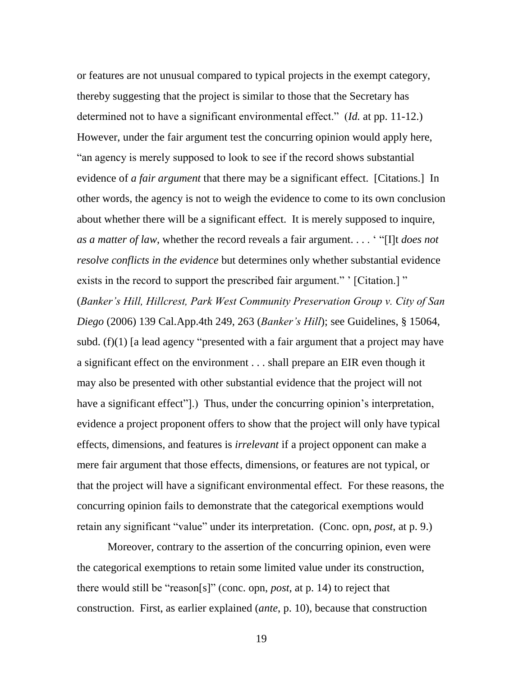or features are not unusual compared to typical projects in the exempt category, thereby suggesting that the project is similar to those that the Secretary has determined not to have a significant environmental effect." (*Id.* at pp. 11-12.) However, under the fair argument test the concurring opinion would apply here, "an agency is merely supposed to look to see if the record shows substantial evidence of *a fair argument* that there may be a significant effect. [Citations.] In other words, the agency is not to weigh the evidence to come to its own conclusion about whether there will be a significant effect. It is merely supposed to inquire, *as a matter of law*, whether the record reveals a fair argument. . . . "Ill *does not resolve conflicts in the evidence* but determines only whether substantial evidence exists in the record to support the prescribed fair argument." ' [Citation.] " (*Banker's Hill, Hillcrest, Park West Community Preservation Group v. City of San Diego* (2006) 139 Cal.App.4th 249, 263 (*Banker's Hill*); see Guidelines, § 15064, subd.  $(f)(1)$  [a lead agency "presented with a fair argument that a project may have a significant effect on the environment . . . shall prepare an EIR even though it may also be presented with other substantial evidence that the project will not have a significant effect"...) Thus, under the concurring opinion's interpretation, evidence a project proponent offers to show that the project will only have typical effects, dimensions, and features is *irrelevant* if a project opponent can make a mere fair argument that those effects, dimensions, or features are not typical, or that the project will have a significant environmental effect. For these reasons, the concurring opinion fails to demonstrate that the categorical exemptions would retain any significant "value" under its interpretation. (Conc. opn, *post*, at p. 9.)

Moreover, contrary to the assertion of the concurring opinion, even were the categorical exemptions to retain some limited value under its construction, there would still be "reason[s]" (conc. opn, *post*, at p. 14) to reject that construction. First, as earlier explained (*ante*, p. 10), because that construction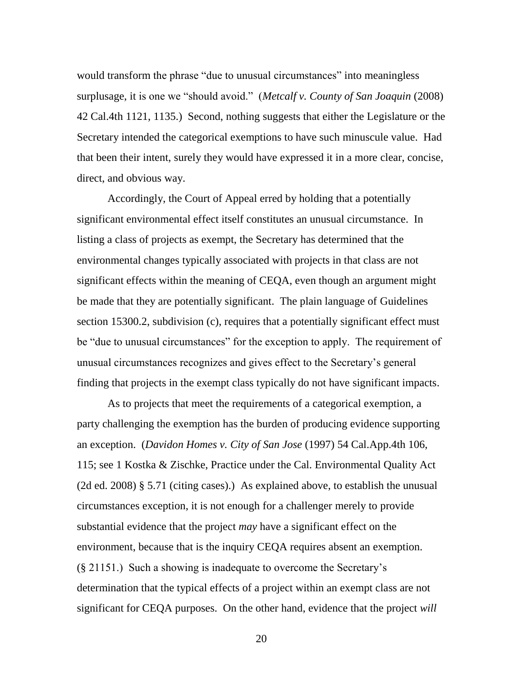would transform the phrase "due to unusual circumstances" into meaningless surplusage, it is one we "should avoid." (*Metcalf v. County of San Joaquin* (2008) 42 Cal.4th 1121, 1135.) Second, nothing suggests that either the Legislature or the Secretary intended the categorical exemptions to have such minuscule value. Had that been their intent, surely they would have expressed it in a more clear, concise, direct, and obvious way.

Accordingly, the Court of Appeal erred by holding that a potentially significant environmental effect itself constitutes an unusual circumstance. In listing a class of projects as exempt, the Secretary has determined that the environmental changes typically associated with projects in that class are not significant effects within the meaning of CEQA, even though an argument might be made that they are potentially significant. The plain language of Guidelines section 15300.2, subdivision (c), requires that a potentially significant effect must be "due to unusual circumstances" for the exception to apply. The requirement of unusual circumstances recognizes and gives effect to the Secretary's general finding that projects in the exempt class typically do not have significant impacts.

As to projects that meet the requirements of a categorical exemption, a party challenging the exemption has the burden of producing evidence supporting an exception. (*Davidon Homes v. City of San Jose* (1997) 54 Cal.App.4th 106, 115; see 1 Kostka & Zischke, Practice under the Cal. Environmental Quality Act (2d ed. 2008) § 5.71 (citing cases).) As explained above, to establish the unusual circumstances exception, it is not enough for a challenger merely to provide substantial evidence that the project *may* have a significant effect on the environment, because that is the inquiry CEQA requires absent an exemption. (§ 21151.) Such a showing is inadequate to overcome the Secretary's determination that the typical effects of a project within an exempt class are not significant for CEQA purposes. On the other hand, evidence that the project *will*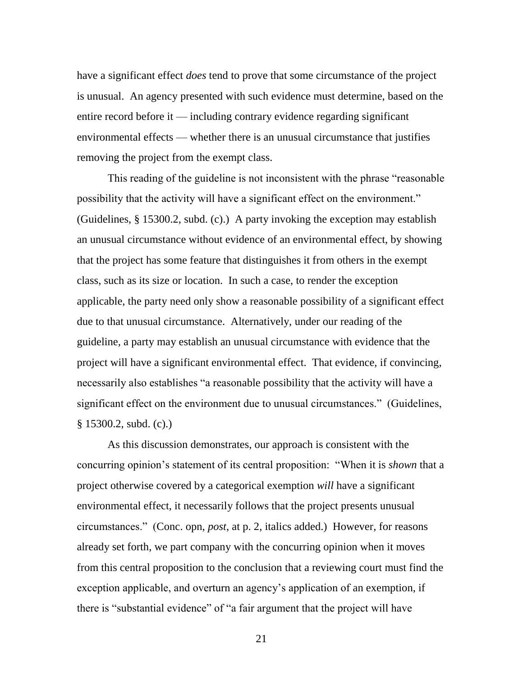have a significant effect *does* tend to prove that some circumstance of the project is unusual. An agency presented with such evidence must determine, based on the entire record before it — including contrary evidence regarding significant environmental effects — whether there is an unusual circumstance that justifies removing the project from the exempt class.

This reading of the guideline is not inconsistent with the phrase "reasonable" possibility that the activity will have a significant effect on the environment." (Guidelines, § 15300.2, subd. (c).) A party invoking the exception may establish an unusual circumstance without evidence of an environmental effect, by showing that the project has some feature that distinguishes it from others in the exempt class, such as its size or location. In such a case, to render the exception applicable, the party need only show a reasonable possibility of a significant effect due to that unusual circumstance. Alternatively, under our reading of the guideline, a party may establish an unusual circumstance with evidence that the project will have a significant environmental effect. That evidence, if convincing, necessarily also establishes "a reasonable possibility that the activity will have a significant effect on the environment due to unusual circumstances." (Guidelines, § 15300.2, subd. (c).)

As this discussion demonstrates, our approach is consistent with the concurring opinion's statement of its central proposition: "When it is *shown* that a project otherwise covered by a categorical exemption *will* have a significant environmental effect, it necessarily follows that the project presents unusual circumstances.‖ (Conc. opn, *post*, at p. 2, italics added.) However, for reasons already set forth, we part company with the concurring opinion when it moves from this central proposition to the conclusion that a reviewing court must find the exception applicable, and overturn an agency's application of an exemption, if there is "substantial evidence" of "a fair argument that the project will have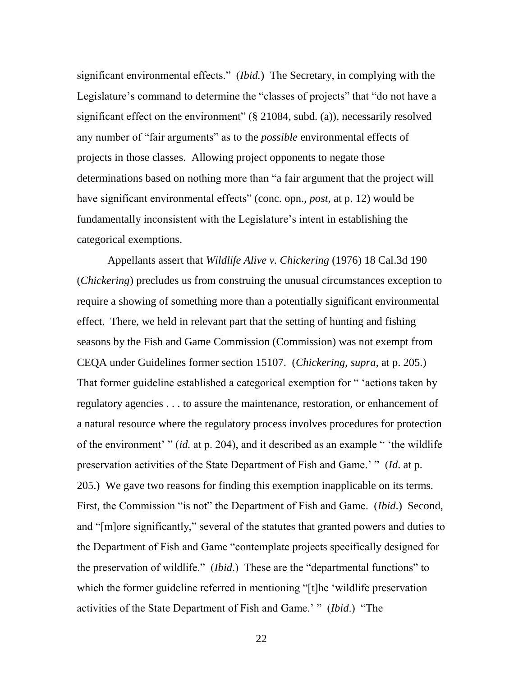significant environmental effects." *(Ibid.)* The Secretary, in complying with the Legislature's command to determine the "classes of projects" that "do not have a significant effect on the environment"  $(\S$  21084, subd. (a)), necessarily resolved any number of "fair arguments" as to the *possible* environmental effects of projects in those classes. Allowing project opponents to negate those determinations based on nothing more than "a fair argument that the project will have significant environmental effects" (conc. opn., *post*, at p. 12) would be fundamentally inconsistent with the Legislature's intent in establishing the categorical exemptions.

Appellants assert that *Wildlife Alive v. Chickering* (1976) 18 Cal.3d 190 (*Chickering*) precludes us from construing the unusual circumstances exception to require a showing of something more than a potentially significant environmental effect. There, we held in relevant part that the setting of hunting and fishing seasons by the Fish and Game Commission (Commission) was not exempt from CEQA under Guidelines former section 15107. (*Chickering*, *supra*, at p. 205.) That former guideline established a categorical exemption for " 'actions taken by regulatory agencies . . . to assure the maintenance, restoration, or enhancement of a natural resource where the regulatory process involves procedures for protection of the environment' " (*id.* at p. 204), and it described as an example " 'the wildlife preservation activities of the State Department of Fish and Game.' " (*Id.* at p. 205.) We gave two reasons for finding this exemption inapplicable on its terms. First, the Commission "is not" the Department of Fish and Game. (*Ibid.*) Second, and "[m]ore significantly," several of the statutes that granted powers and duties to the Department of Fish and Game "contemplate projects specifically designed for the preservation of wildlife." *(Ibid.)* These are the "departmental functions" to which the former guideline referred in mentioning "[t]he 'wildlife preservation activities of the State Department of Fish and Game.' " (*Ibid.*) "The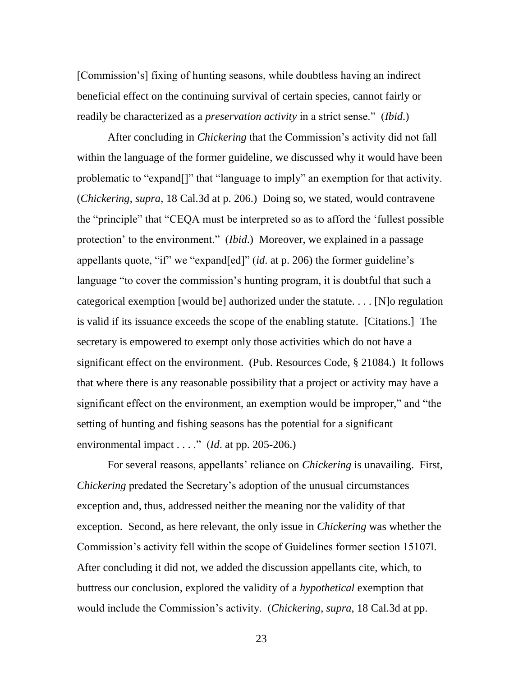[Commission's] fixing of hunting seasons, while doubtless having an indirect beneficial effect on the continuing survival of certain species, cannot fairly or readily be characterized as a *preservation activity* in a strict sense." *(Ibid.)* 

After concluding in *Chickering* that the Commission's activity did not fall within the language of the former guideline, we discussed why it would have been problematic to "expand[]" that "language to imply" an exemption for that activity. (*Chickering*, *supra*, 18 Cal.3d at p. 206.) Doing so, we stated, would contravene the "principle" that "CEQA must be interpreted so as to afford the 'fullest possible protection' to the environment." *(Ibid.)* Moreover, we explained in a passage appellants quote, "if" we "expand[ed]" (*id.* at p. 206) the former guideline's language "to cover the commission's hunting program, it is doubtful that such a categorical exemption [would be] authorized under the statute. . . . [N]o regulation is valid if its issuance exceeds the scope of the enabling statute. [Citations.] The secretary is empowered to exempt only those activities which do not have a significant effect on the environment. (Pub. Resources Code, § 21084.) It follows that where there is any reasonable possibility that a project or activity may have a significant effect on the environment, an exemption would be improper," and "the setting of hunting and fishing seasons has the potential for a significant environmental impact  $\dots$ ." (*Id.* at pp. 205-206.)

For several reasons, appellants' reliance on *Chickering* is unavailing. First, *Chickering* predated the Secretary's adoption of the unusual circumstances exception and, thus, addressed neither the meaning nor the validity of that exception. Second, as here relevant, the only issue in *Chickering* was whether the Commission's activity fell within the scope of Guidelines former section 15107l. After concluding it did not, we added the discussion appellants cite, which, to buttress our conclusion, explored the validity of a *hypothetical* exemption that would include the Commission's activity. (*Chickering*, *supra*, 18 Cal.3d at pp.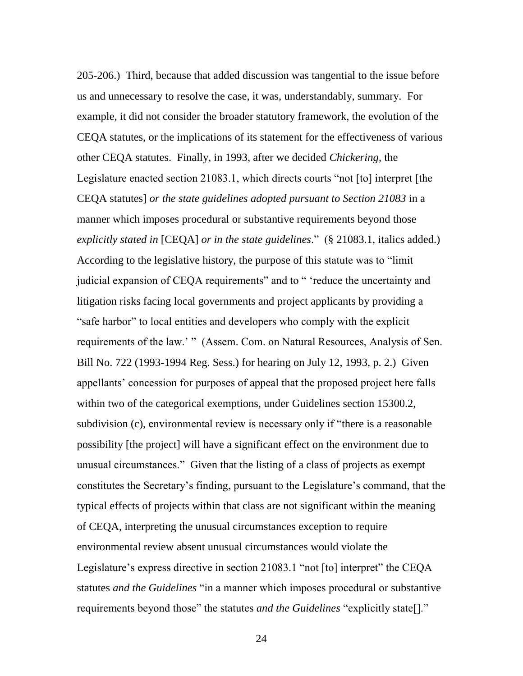205-206.) Third, because that added discussion was tangential to the issue before us and unnecessary to resolve the case, it was, understandably, summary. For example, it did not consider the broader statutory framework, the evolution of the CEQA statutes, or the implications of its statement for the effectiveness of various other CEQA statutes. Finally, in 1993, after we decided *Chickering*, the Legislature enacted section 21083.1, which directs courts "not [to] interpret [the CEQA statutes] *or the state guidelines adopted pursuant to Section 21083* in a manner which imposes procedural or substantive requirements beyond those *explicitly stated in* [CEQA] *or in the state guidelines*." (§ 21083.1, italics added.) According to the legislative history, the purpose of this statute was to "limit" judicial expansion of CEQA requirements" and to "reduce the uncertainty and litigation risks facing local governments and project applicants by providing a "safe harbor" to local entities and developers who comply with the explicit requirements of the law.' " (Assem. Com. on Natural Resources, Analysis of Sen. Bill No. 722 (1993-1994 Reg. Sess.) for hearing on July 12, 1993, p. 2.) Given appellants' concession for purposes of appeal that the proposed project here falls within two of the categorical exemptions, under Guidelines section 15300.2, subdivision (c), environmental review is necessary only if "there is a reasonable possibility [the project] will have a significant effect on the environment due to unusual circumstances.‖ Given that the listing of a class of projects as exempt constitutes the Secretary's finding, pursuant to the Legislature's command, that the typical effects of projects within that class are not significant within the meaning of CEQA, interpreting the unusual circumstances exception to require environmental review absent unusual circumstances would violate the Legislature's express directive in section 21083.1 "not [to] interpret" the CEQA statutes *and the Guidelines* "in a manner which imposes procedural or substantive requirements beyond those" the statutes *and the Guidelines* "explicitly state[]."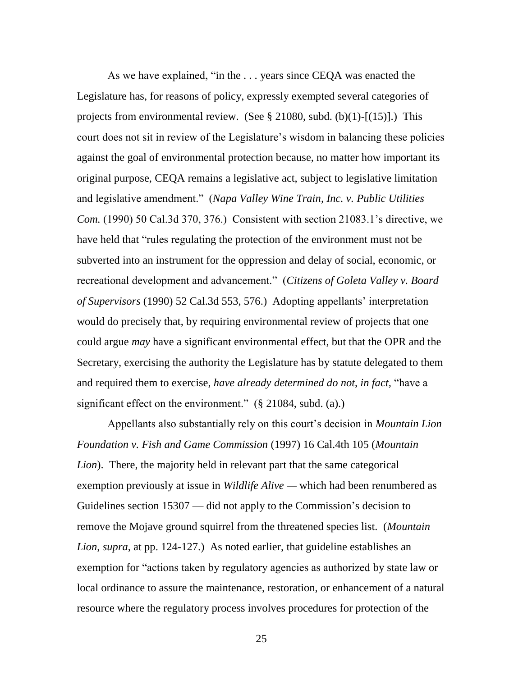As we have explained, "in the  $\dots$  years since CEQA was enacted the Legislature has, for reasons of policy, expressly exempted several categories of projects from environmental review. (See  $\S 21080$ , subd. (b)(1)-[(15)].) This court does not sit in review of the Legislature's wisdom in balancing these policies against the goal of environmental protection because, no matter how important its original purpose, CEQA remains a legislative act, subject to legislative limitation and legislative amendment.‖ (*Napa Valley Wine Train, Inc. v. Public Utilities Com.* (1990) 50 Cal.3d 370, 376.) Consistent with section 21083.1's directive, we have held that "rules regulating the protection of the environment must not be subverted into an instrument for the oppression and delay of social, economic, or recreational development and advancement.‖ (*Citizens of Goleta Valley v. Board of Supervisors* (1990) 52 Cal.3d 553, 576.) Adopting appellants' interpretation would do precisely that, by requiring environmental review of projects that one could argue *may* have a significant environmental effect, but that the OPR and the Secretary, exercising the authority the Legislature has by statute delegated to them and required them to exercise, *have already determined do not*, *in fact*, "have a significant effect on the environment."  $(\S$  21084, subd. (a).)

Appellants also substantially rely on this court's decision in *Mountain Lion Foundation v. Fish and Game Commission* (1997) 16 Cal.4th 105 (*Mountain Lion*). There, the majority held in relevant part that the same categorical exemption previously at issue in *Wildlife Alive* — which had been renumbered as Guidelines section 15307 — did not apply to the Commission's decision to remove the Mojave ground squirrel from the threatened species list. (*Mountain Lion*, *supra*, at pp. 124-127.) As noted earlier, that guideline establishes an exemption for "actions taken by regulatory agencies as authorized by state law or local ordinance to assure the maintenance, restoration, or enhancement of a natural resource where the regulatory process involves procedures for protection of the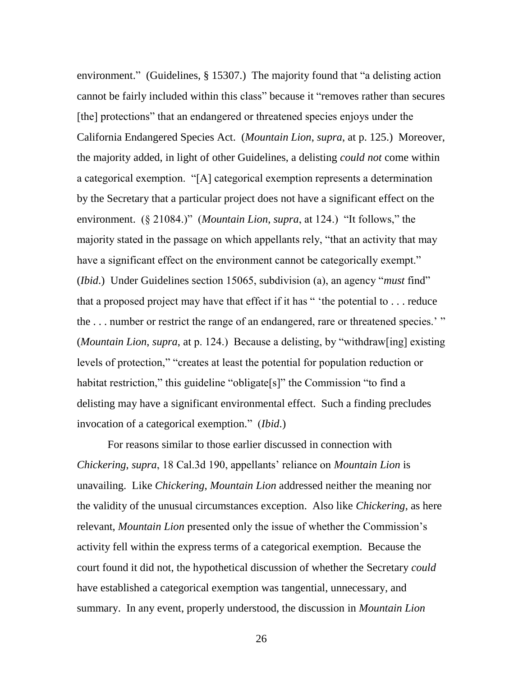environment." (Guidelines,  $\S$  15307.) The majority found that "a delisting action cannot be fairly included within this class" because it "removes rather than secures" [the] protections" that an endangered or threatened species enjoys under the California Endangered Species Act. (*Mountain Lion*, *supra*, at p. 125.) Moreover, the majority added, in light of other Guidelines, a delisting *could not* come within a categorical exemption. "[A] categorical exemption represents a determination by the Secretary that a particular project does not have a significant effect on the environment.  $(\S$  21084.)" (*Mountain Lion*, *supra*, at 124.) "It follows," the majority stated in the passage on which appellants rely, "that an activity that may have a significant effect on the environment cannot be categorically exempt." (*Ibid.*) Under Guidelines section 15065, subdivision (a), an agency "*must* find" that a proposed project may have that effect if it has  $\degree$  <sup>\*</sup>the potential to  $\degree$ ... reduce the  $\dots$  number or restrict the range of an endangered, rare or threatened species.' " (*Mountain Lion*, *supra*, at p. 124.) Because a delisting, by "withdraw[ing] existing levels of protection," "creates at least the potential for population reduction or habitat restriction," this guideline "obligate[s]" the Commission "to find a delisting may have a significant environmental effect. Such a finding precludes invocation of a categorical exemption." (*Ibid*.)

For reasons similar to those earlier discussed in connection with *Chickering*, *supra*, 18 Cal.3d 190, appellants' reliance on *Mountain Lion* is unavailing. Like *Chickering*, *Mountain Lion* addressed neither the meaning nor the validity of the unusual circumstances exception. Also like *Chickering*, as here relevant, *Mountain Lion* presented only the issue of whether the Commission's activity fell within the express terms of a categorical exemption. Because the court found it did not, the hypothetical discussion of whether the Secretary *could* have established a categorical exemption was tangential, unnecessary, and summary. In any event, properly understood, the discussion in *Mountain Lion*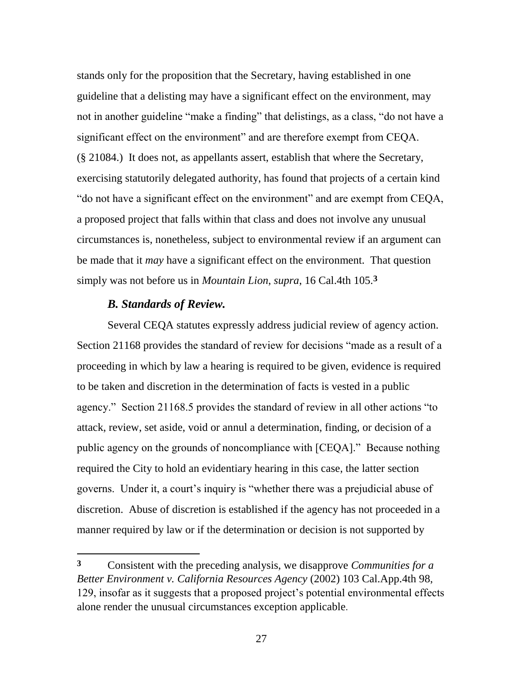stands only for the proposition that the Secretary, having established in one guideline that a delisting may have a significant effect on the environment, may not in another guideline "make a finding" that delistings, as a class, "do not have a significant effect on the environment" and are therefore exempt from CEQA. (§ 21084.) It does not, as appellants assert, establish that where the Secretary, exercising statutorily delegated authority, has found that projects of a certain kind " do not have a significant effect on the environment" and are exempt from CEQA, a proposed project that falls within that class and does not involve any unusual circumstances is, nonetheless, subject to environmental review if an argument can be made that it *may* have a significant effect on the environment. That question simply was not before us in *Mountain Lion*, *supra*, 16 Cal.4th 105.**3**

### *B. Standards of Review.*

l

Several CEQA statutes expressly address judicial review of agency action. Section 21168 provides the standard of review for decisions "made as a result of a proceeding in which by law a hearing is required to be given, evidence is required to be taken and discretion in the determination of facts is vested in a public agency." Section 21168.5 provides the standard of review in all other actions "to attack, review, set aside, void or annul a determination, finding, or decision of a public agency on the grounds of noncompliance with [CEQA]." Because nothing required the City to hold an evidentiary hearing in this case, the latter section governs. Under it, a court's inquiry is "whether there was a prejudicial abuse of discretion. Abuse of discretion is established if the agency has not proceeded in a manner required by law or if the determination or decision is not supported by

**<sup>3</sup>** Consistent with the preceding analysis, we disapprove *Communities for a Better Environment v. California Resources Agency* (2002) 103 Cal.App.4th 98, 129, insofar as it suggests that a proposed project's potential environmental effects alone render the unusual circumstances exception applicable.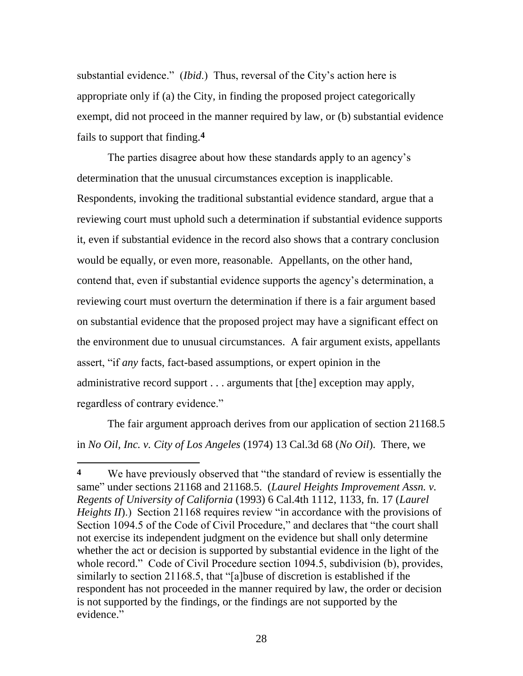substantial evidence." *(Ibid.)* Thus, reversal of the City's action here is appropriate only if (a) the City, in finding the proposed project categorically exempt, did not proceed in the manner required by law, or (b) substantial evidence fails to support that finding.**4**

The parties disagree about how these standards apply to an agency's determination that the unusual circumstances exception is inapplicable. Respondents, invoking the traditional substantial evidence standard, argue that a reviewing court must uphold such a determination if substantial evidence supports it, even if substantial evidence in the record also shows that a contrary conclusion would be equally, or even more, reasonable. Appellants, on the other hand, contend that, even if substantial evidence supports the agency's determination, a reviewing court must overturn the determination if there is a fair argument based on substantial evidence that the proposed project may have a significant effect on the environment due to unusual circumstances. A fair argument exists, appellants assert, "if *any* facts, fact-based assumptions, or expert opinion in the administrative record support . . . arguments that [the] exception may apply, regardless of contrary evidence."

The fair argument approach derives from our application of section 21168.5 in *No Oil, Inc. v. City of Los Angeles* (1974) 13 Cal.3d 68 (*No Oil*). There, we

 $\overline{\phantom{a}}$ 

<sup>&</sup>lt;sup>4</sup> We have previously observed that "the standard of review is essentially the same" under sections 21168 and 21168.5. (*Laurel Heights Improvement Assn. v. Regents of University of California* (1993) 6 Cal.4th 1112, 1133, fn. 17 (*Laurel Heights II*).) Section 21168 requires review "in accordance with the provisions of Section 1094.5 of the Code of Civil Procedure," and declares that "the court shall not exercise its independent judgment on the evidence but shall only determine whether the act or decision is supported by substantial evidence in the light of the whole record." Code of Civil Procedure section 1094.5, subdivision (b), provides, similarly to section 21168.5, that "[a]buse of discretion is established if the respondent has not proceeded in the manner required by law, the order or decision is not supported by the findings, or the findings are not supported by the evidence."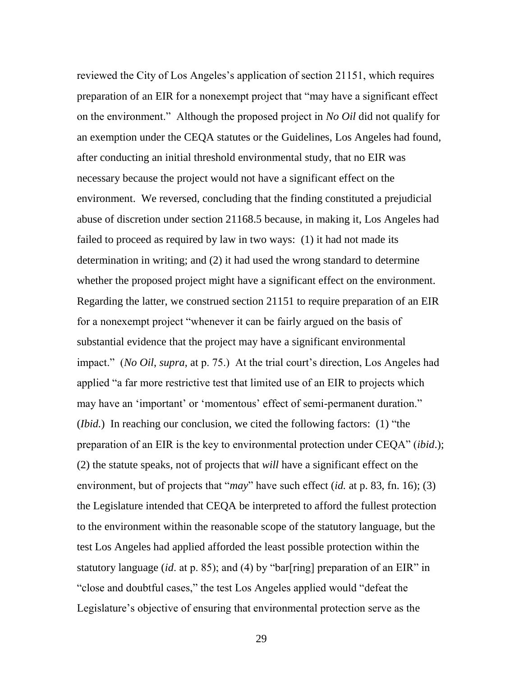reviewed the City of Los Angeles's application of section 21151, which requires preparation of an EIR for a nonexempt project that "may have a significant effect on the environment.‖ Although the proposed project in *No Oil* did not qualify for an exemption under the CEQA statutes or the Guidelines, Los Angeles had found, after conducting an initial threshold environmental study, that no EIR was necessary because the project would not have a significant effect on the environment. We reversed, concluding that the finding constituted a prejudicial abuse of discretion under section 21168.5 because, in making it, Los Angeles had failed to proceed as required by law in two ways: (1) it had not made its determination in writing; and (2) it had used the wrong standard to determine whether the proposed project might have a significant effect on the environment. Regarding the latter, we construed section 21151 to require preparation of an EIR for a nonexempt project "whenever it can be fairly argued on the basis of substantial evidence that the project may have a significant environmental impact." (*No Oil, supra*, at p. 75.) At the trial court's direction, Los Angeles had applied "a far more restrictive test that limited use of an EIR to projects which may have an 'important' or 'momentous' effect of semi-permanent duration." (*Ibid.*) In reaching our conclusion, we cited the following factors: (1) "the preparation of an EIR is the key to environmental protection under CEQA" *(ibid.)*; (2) the statute speaks, not of projects that *will* have a significant effect on the environment, but of projects that "*may*" have such effect (*id.* at p. 83, fn. 16); (3) the Legislature intended that CEQA be interpreted to afford the fullest protection to the environment within the reasonable scope of the statutory language, but the test Los Angeles had applied afforded the least possible protection within the statutory language (*id.* at p. 85); and (4) by "bar[ring] preparation of an EIR" in "close and doubtful cases," the test Los Angeles applied would "defeat the Legislature's objective of ensuring that environmental protection serve as the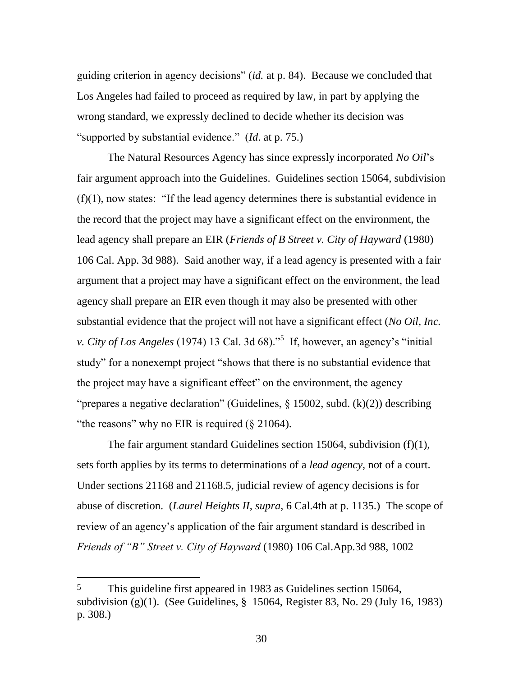guiding criterion in agency decisions" *(id.* at p. 84). Because we concluded that Los Angeles had failed to proceed as required by law, in part by applying the wrong standard, we expressly declined to decide whether its decision was "supported by substantial evidence." *(Id. at p. 75.)* 

The Natural Resources Agency has since expressly incorporated *No Oil*'s fair argument approach into the Guidelines. Guidelines section 15064, subdivision  $(f)(1)$ , now states: "If the lead agency determines there is substantial evidence in the record that the project may have a significant effect on the environment, the lead agency shall prepare an EIR (*Friends of B Street v. City of Hayward* (1980) 106 Cal. App. 3d 988). Said another way, if a lead agency is presented with a fair argument that a project may have a significant effect on the environment, the lead agency shall prepare an EIR even though it may also be presented with other substantial evidence that the project will not have a significant effect (*No Oil, Inc. v. City of Los Angeles* (1974) 13 Cal. 3d 68).<sup>55</sup> If, however, an agency's "initial study" for a nonexempt project "shows that there is no substantial evidence that the project may have a significant effect" on the environment, the agency "prepares a negative declaration" (Guidelines,  $\S$  15002, subd. (k)(2)) describing "the reasons" why no EIR is required  $(\S 21064)$ .

The fair argument standard Guidelines section 15064, subdivision (f)(1), sets forth applies by its terms to determinations of a *lead agency*, not of a court. Under sections 21168 and 21168.5, judicial review of agency decisions is for abuse of discretion. (*Laurel Heights II*, *supra*, 6 Cal.4th at p. 1135.) The scope of review of an agency's application of the fair argument standard is described in *Friends of "B" Street v. City of Hayward* (1980) 106 Cal.App.3d 988, 1002

 $\overline{\phantom{a}}$ 

<sup>5</sup> This guideline first appeared in 1983 as Guidelines section 15064, subdivision (g)(1). (See Guidelines, § 15064, Register 83, No. 29 (July 16, 1983) p. 308.)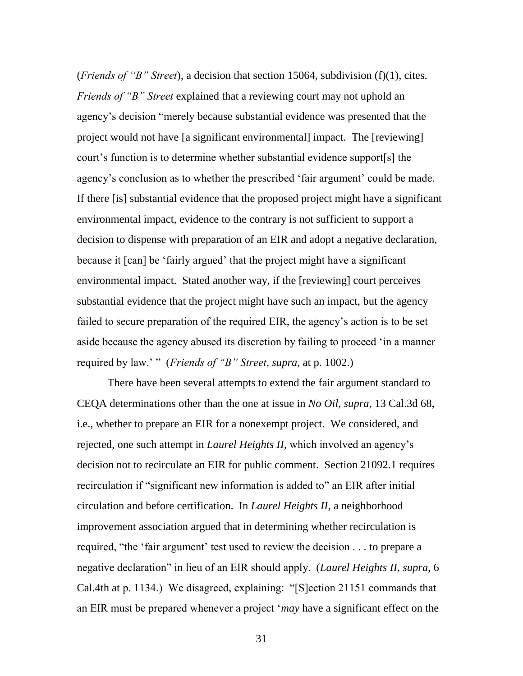(*Friends of "B" Street*), a decision that section 15064, subdivision (f)(1), cites. *Friends of "B" Street* explained that a reviewing court may not uphold an agency's decision "merely because substantial evidence was presented that the project would not have [a significant environmental] impact. The [reviewing] court's function is to determine whether substantial evidence support[s] the agency's conclusion as to whether the prescribed 'fair argument' could be made. If there [is] substantial evidence that the proposed project might have a significant environmental impact, evidence to the contrary is not sufficient to support a decision to dispense with preparation of an EIR and adopt a negative declaration, because it [can] be 'fairly argued' that the project might have a significant environmental impact. Stated another way, if the [reviewing] court perceives substantial evidence that the project might have such an impact, but the agency failed to secure preparation of the required EIR, the agency's action is to be set aside because the agency abused its discretion by failing to proceed 'in a manner required by law.' " (*Friends of "B" Street*, *supra*, at p. 1002.)

There have been several attempts to extend the fair argument standard to CEQA determinations other than the one at issue in *No Oil*, *supra*, 13 Cal.3d 68, i.e., whether to prepare an EIR for a nonexempt project. We considered, and rejected, one such attempt in *Laurel Heights II*, which involved an agency's decision not to recirculate an EIR for public comment. Section 21092.1 requires recirculation if "significant new information is added to" an EIR after initial circulation and before certification. In *Laurel Heights II*, a neighborhood improvement association argued that in determining whether recirculation is required, "the 'fair argument' test used to review the decision . . . to prepare a negative declaration" in lieu of an EIR should apply. *(Laurel Heights II, supra, 6*) Cal.4th at p. 1134.) We disagreed, explaining: "[S]ection 21151 commands that an EIR must be prepared whenever a project ‗*may* have a significant effect on the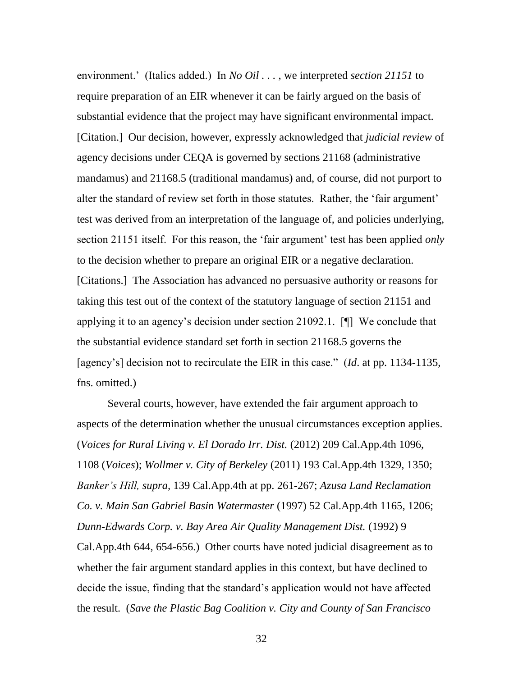environment.' (Italics added.) In *No Oil . . .* , we interpreted *section 21151* to require preparation of an EIR whenever it can be fairly argued on the basis of substantial evidence that the project may have significant environmental impact. [Citation.] Our decision, however, expressly acknowledged that *judicial review* of agency decisions under CEQA is governed by sections 21168 (administrative mandamus) and 21168.5 (traditional mandamus) and, of course, did not purport to alter the standard of review set forth in those statutes. Rather, the 'fair argument' test was derived from an interpretation of the language of, and policies underlying, section 21151 itself. For this reason, the 'fair argument' test has been applied *only* to the decision whether to prepare an original EIR or a negative declaration. [Citations.] The Association has advanced no persuasive authority or reasons for taking this test out of the context of the statutory language of section 21151 and applying it to an agency's decision under section 21092.1. [¶] We conclude that the substantial evidence standard set forth in section 21168.5 governs the [agency's] decision not to recirculate the EIR in this case." *(Id. at pp. 1134-1135,* fns. omitted.)

Several courts, however, have extended the fair argument approach to aspects of the determination whether the unusual circumstances exception applies. (*Voices for Rural Living v. El Dorado Irr. Dist.* (2012) 209 Cal.App.4th 1096, 1108 (*Voices*); *Wollmer v. City of Berkeley* (2011) 193 Cal.App.4th 1329, 1350; *Banker's Hill, supra,* 139 Cal.App.4th at pp. 261-267; *Azusa Land Reclamation Co. v. Main San Gabriel Basin Watermaster* (1997) 52 Cal.App.4th 1165, 1206; *Dunn-Edwards Corp. v. Bay Area Air Quality Management Dist.* (1992) 9 Cal.App.4th 644, 654-656.) Other courts have noted judicial disagreement as to whether the fair argument standard applies in this context, but have declined to decide the issue, finding that the standard's application would not have affected the result. (*Save the Plastic Bag Coalition v. City and County of San Francisco*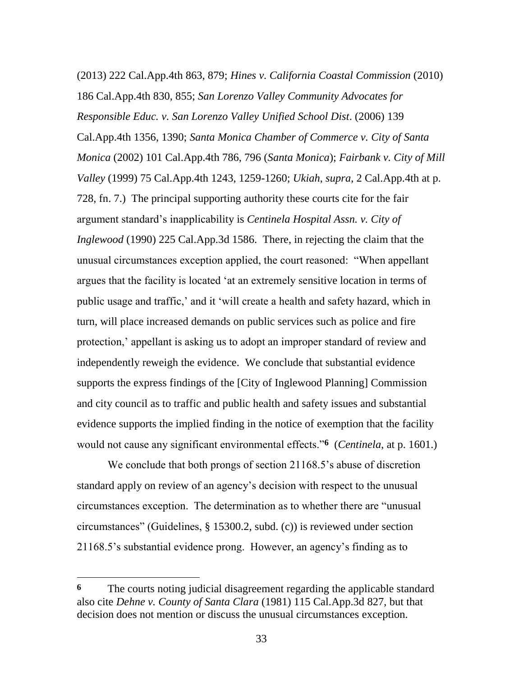(2013) 222 Cal.App.4th 863, 879; *Hines v. California Coastal Commission* (2010) 186 Cal.App.4th 830, 855; *San Lorenzo Valley Community Advocates for Responsible Educ. v. San Lorenzo Valley Unified School Dist*. (2006) 139 Cal.App.4th 1356, 1390; *Santa Monica Chamber of Commerce v. City of Santa Monica* (2002) 101 Cal.App.4th 786, 796 (*Santa Monica*); *Fairbank v. City of Mill Valley* (1999) 75 Cal.App.4th 1243, 1259-1260; *Ukiah*, *supra*, 2 Cal.App.4th at p. 728, fn. 7.) The principal supporting authority these courts cite for the fair argument standard's inapplicability is *Centinela Hospital Assn. v. City of Inglewood* (1990) 225 Cal.App.3d 1586. There, in rejecting the claim that the unusual circumstances exception applied, the court reasoned: "When appellant argues that the facility is located 'at an extremely sensitive location in terms of public usage and traffic,' and it ‗will create a health and safety hazard, which in turn, will place increased demands on public services such as police and fire protection,' appellant is asking us to adopt an improper standard of review and independently reweigh the evidence. We conclude that substantial evidence supports the express findings of the [City of Inglewood Planning] Commission and city council as to traffic and public health and safety issues and substantial evidence supports the implied finding in the notice of exemption that the facility would not cause any significant environmental effects.<sup>76</sup> (*Centinela*, at p. 1601.)

We conclude that both prongs of section 21168.5's abuse of discretion standard apply on review of an agency's decision with respect to the unusual circumstances exception. The determination as to whether there are "unusual circumstances" (Guidelines,  $\S$  15300.2, subd. (c)) is reviewed under section 21168.5's substantial evidence prong. However, an agency's finding as to

 $\overline{\phantom{a}}$ 

**<sup>6</sup>** The courts noting judicial disagreement regarding the applicable standard also cite *Dehne v. County of Santa Clara* (1981) 115 Cal.App.3d 827, but that decision does not mention or discuss the unusual circumstances exception.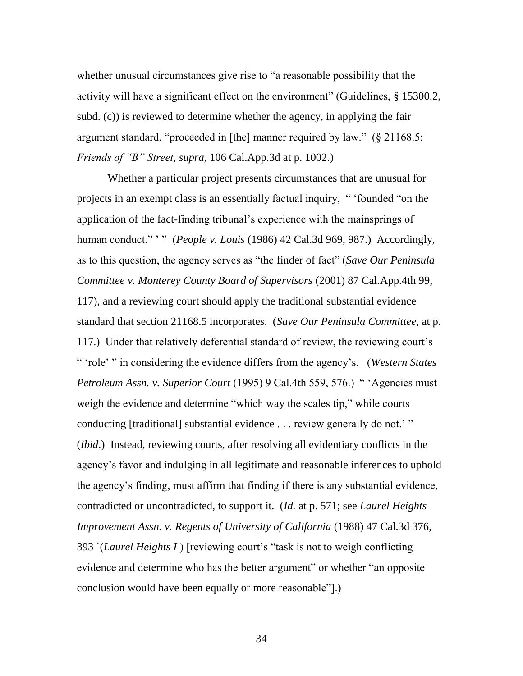whether unusual circumstances give rise to "a reasonable possibility that the activity will have a significant effect on the environment" (Guidelines, § 15300.2, subd. (c)) is reviewed to determine whether the agency, in applying the fair argument standard, "proceeded in [the] manner required by law."  $(§ 21168.5;$ *Friends of "B" Street*, *supra*, 106 Cal.App.3d at p. 1002.)

Whether a particular project presents circumstances that are unusual for projects in an exempt class is an essentially factual inquiry, " 'founded "on the application of the fact-finding tribunal's experience with the mainsprings of human conduct." '" (*People v. Louis* (1986) 42 Cal.3d 969, 987.) Accordingly, as to this question, the agency serves as "the finder of fact" (*Save Our Peninsula Committee v. Monterey County Board of Supervisors* (2001) 87 Cal.App.4th 99, 117), and a reviewing court should apply the traditional substantial evidence standard that section 21168.5 incorporates. (*Save Our Peninsula Committee*, at p. 117.) Under that relatively deferential standard of review, the reviewing court's ― ‗role' ‖ in considering the evidence differs from the agency's. (*Western States Petroleum Assn. v. Superior Court* (1995) 9 Cal.4th 559, 576.) " 'Agencies must weigh the evidence and determine "which way the scales tip," while courts conducting [traditional] substantial evidence . . . review generally do not.' " (*Ibid*.) Instead, reviewing courts, after resolving all evidentiary conflicts in the agency's favor and indulging in all legitimate and reasonable inferences to uphold the agency's finding, must affirm that finding if there is any substantial evidence, contradicted or uncontradicted, to support it. (*Id.* at p. 571; see *Laurel Heights Improvement Assn. v. Regents of University of California* (1988) 47 Cal.3d 376, 393 *`(Laurel Heights I)* [reviewing court's "task is not to weigh conflicting evidence and determine who has the better argument" or whether "an opposite" conclusion would have been equally or more reasonable".)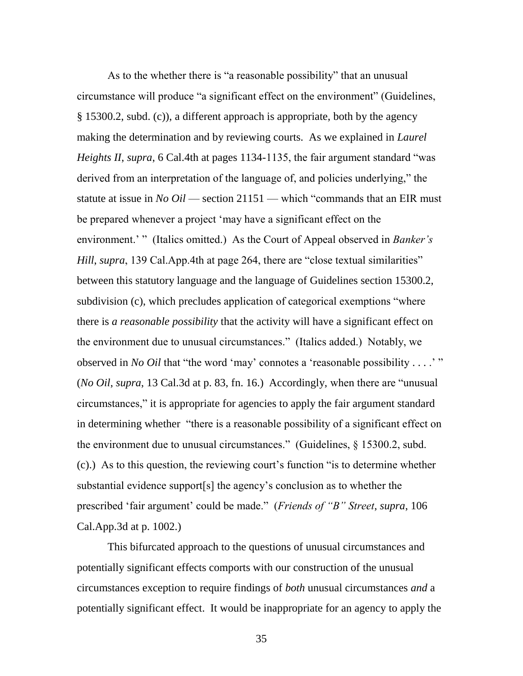As to the whether there is "a reasonable possibility" that an unusual circumstance will produce "a significant effect on the environment" (Guidelines, § 15300.2, subd. (c)), a different approach is appropriate, both by the agency making the determination and by reviewing courts. As we explained in *Laurel Heights II, supra,* 6 Cal.4th at pages 1134-1135, the fair argument standard "was" derived from an interpretation of the language of, and policies underlying," the statute at issue in *No Oil* — section  $21151$  — which "commands that an EIR must be prepared whenever a project 'may have a significant effect on the environment.' " (Italics omitted.) As the Court of Appeal observed in *Banker's Hill*, *supra*, 139 Cal.App.4th at page 264, there are "close textual similarities" between this statutory language and the language of Guidelines section 15300.2, subdivision (c), which precludes application of categorical exemptions "where there is *a reasonable possibility* that the activity will have a significant effect on the environment due to unusual circumstances.‖ (Italics added.) Notably, we observed in *No Oil* that "the word 'may' connotes a 'reasonable possibility . . . .' " (*No Oil, supra*, 13 Cal.3d at p. 83, fn. 16.) Accordingly, when there are "unusual circumstances,‖ it is appropriate for agencies to apply the fair argument standard in determining whether "there is a reasonable possibility of a significant effect on the environment due to unusual circumstances." (Guidelines,  $\S$  15300.2, subd. (c).) As to this question, the reviewing court's function "is to determine whether substantial evidence support[s] the agency's conclusion as to whether the prescribed ‗fair argument' could be made.‖ (*Friends of "B" Street*, *supra*, 106 Cal.App.3d at p. 1002.)

This bifurcated approach to the questions of unusual circumstances and potentially significant effects comports with our construction of the unusual circumstances exception to require findings of *both* unusual circumstances *and* a potentially significant effect. It would be inappropriate for an agency to apply the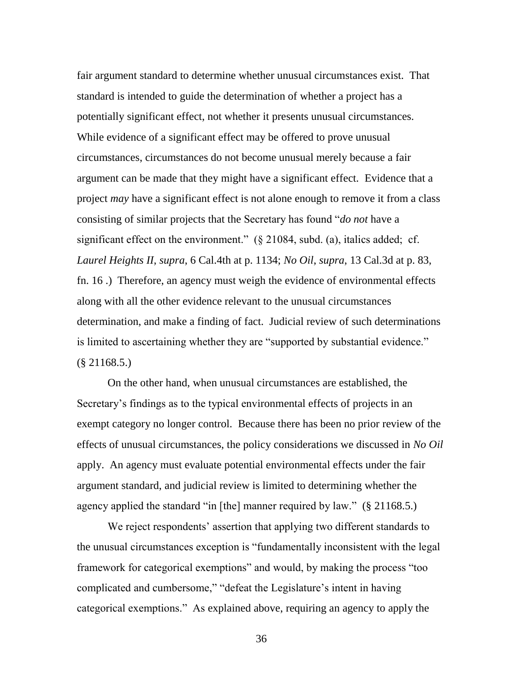fair argument standard to determine whether unusual circumstances exist. That standard is intended to guide the determination of whether a project has a potentially significant effect, not whether it presents unusual circumstances. While evidence of a significant effect may be offered to prove unusual circumstances, circumstances do not become unusual merely because a fair argument can be made that they might have a significant effect. Evidence that a project *may* have a significant effect is not alone enough to remove it from a class consisting of similar projects that the Secretary has found "*do not* have a significant effect on the environment."  $(\S$  21084, subd. (a), italics added; cf. *Laurel Heights II*, *supra*, 6 Cal.4th at p. 1134; *No Oil*, *supra*, 13 Cal.3d at p. 83, fn. 16 .) Therefore, an agency must weigh the evidence of environmental effects along with all the other evidence relevant to the unusual circumstances determination, and make a finding of fact. Judicial review of such determinations is limited to ascertaining whether they are "supported by substantial evidence." (§ 21168.5.)

On the other hand, when unusual circumstances are established, the Secretary's findings as to the typical environmental effects of projects in an exempt category no longer control. Because there has been no prior review of the effects of unusual circumstances, the policy considerations we discussed in *No Oil* apply. An agency must evaluate potential environmental effects under the fair argument standard, and judicial review is limited to determining whether the agency applied the standard "in [the] manner required by law."  $(\S$  21168.5.)

We reject respondents' assertion that applying two different standards to the unusual circumstances exception is "fundamentally inconsistent with the legal framework for categorical exemptions" and would, by making the process "too complicated and cumbersome," "defeat the Legislature's intent in having categorical exemptions." As explained above, requiring an agency to apply the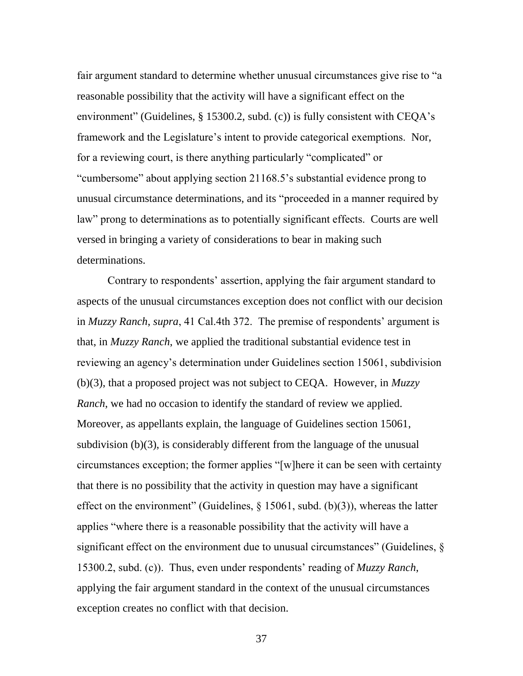fair argument standard to determine whether unusual circumstances give rise to "a reasonable possibility that the activity will have a significant effect on the environment" (Guidelines,  $\S$  15300.2, subd. (c)) is fully consistent with CEQA's framework and the Legislature's intent to provide categorical exemptions. Nor, for a reviewing court, is there anything particularly "complicated" or "cumbersome" about applying section 21168.5's substantial evidence prong to unusual circumstance determinations, and its "proceeded in a manner required by law" prong to determinations as to potentially significant effects. Courts are well versed in bringing a variety of considerations to bear in making such determinations.

Contrary to respondents' assertion, applying the fair argument standard to aspects of the unusual circumstances exception does not conflict with our decision in *Muzzy Ranch*, *supra*, 41 Cal.4th 372. The premise of respondents' argument is that, in *Muzzy Ranch*, we applied the traditional substantial evidence test in reviewing an agency's determination under Guidelines section 15061, subdivision (b)(3), that a proposed project was not subject to CEQA. However, in *Muzzy Ranch*, we had no occasion to identify the standard of review we applied. Moreover, as appellants explain, the language of Guidelines section 15061, subdivision (b)(3), is considerably different from the language of the unusual circumstances exception; the former applies "[w]here it can be seen with certainty that there is no possibility that the activity in question may have a significant effect on the environment" (Guidelines,  $\S$  15061, subd. (b)(3)), whereas the latter applies "where there is a reasonable possibility that the activity will have a significant effect on the environment due to unusual circumstances" (Guidelines,  $\S$ ) 15300.2, subd. (c)). Thus, even under respondents' reading of *Muzzy Ranch*, applying the fair argument standard in the context of the unusual circumstances exception creates no conflict with that decision.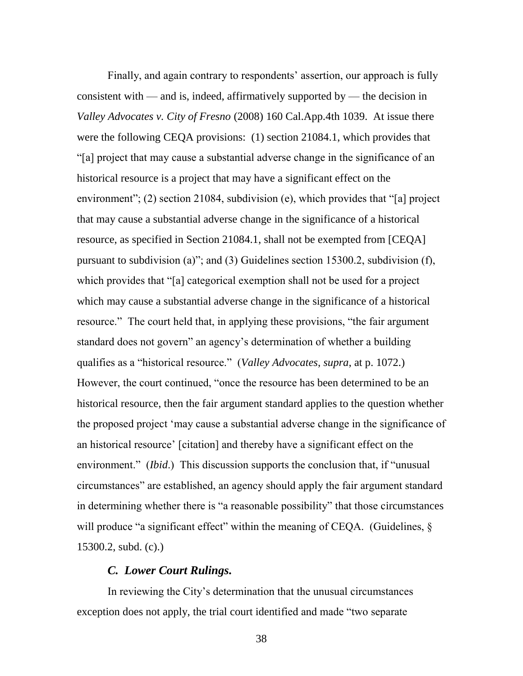Finally, and again contrary to respondents' assertion, our approach is fully consistent with — and is, indeed, affirmatively supported by — the decision in *Valley Advocates v. City of Fresno* (2008) 160 Cal.App.4th 1039. At issue there were the following CEQA provisions: (1) section 21084.1, which provides that ―[a] project that may cause a substantial adverse change in the significance of an historical resource is a project that may have a significant effect on the environment"; (2) section 21084, subdivision (e), which provides that "[a] project that may cause a substantial adverse change in the significance of a historical resource, as specified in Section 21084.1, shall not be exempted from [CEQA] pursuant to subdivision (a)"; and (3) Guidelines section 15300.2, subdivision (f), which provides that "[a] categorical exemption shall not be used for a project which may cause a substantial adverse change in the significance of a historical resource." The court held that, in applying these provisions, "the fair argument standard does not govern" an agency's determination of whether a building qualifies as a "historical resource." (*Valley Advocates*, *supra*, at p. 1072.) However, the court continued, "once the resource has been determined to be an historical resource, then the fair argument standard applies to the question whether the proposed project ‗may cause a substantial adverse change in the significance of an historical resource' [citation] and thereby have a significant effect on the environment." *(Ibid.)* This discussion supports the conclusion that, if "unusual circumstances" are established, an agency should apply the fair argument standard in determining whether there is "a reasonable possibility" that those circumstances will produce "a significant effect" within the meaning of CEQA. (Guidelines,  $\delta$ ) 15300.2, subd. (c).)

## *C. Lower Court Rulings.*

In reviewing the City's determination that the unusual circumstances exception does not apply, the trial court identified and made "two separate"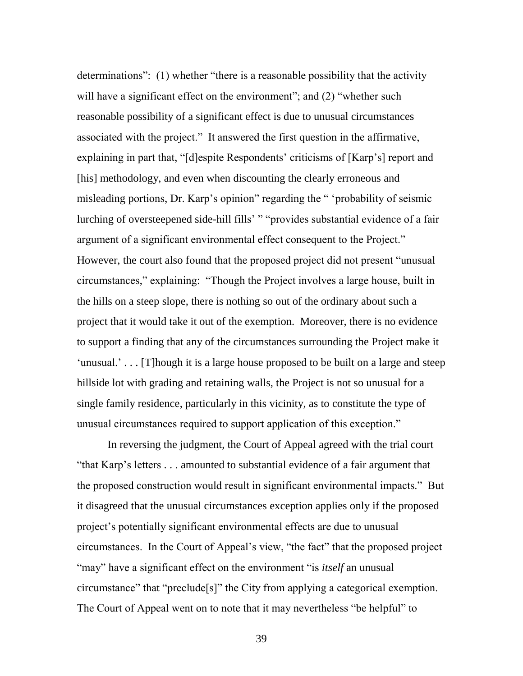determinations": (1) whether "there is a reasonable possibility that the activity will have a significant effect on the environment"; and  $(2)$  "whether such reasonable possibility of a significant effect is due to unusual circumstances associated with the project." It answered the first question in the affirmative, explaining in part that, "[d]espite Respondents' criticisms of [Karp's] report and [his] methodology, and even when discounting the clearly erroneous and misleading portions, Dr. Karp's opinion" regarding the " 'probability of seismic lurching of oversteepened side-hill fills' " "provides substantial evidence of a fair argument of a significant environmental effect consequent to the Project." However, the court also found that the proposed project did not present "unusual" circumstances," explaining: "Though the Project involves a large house, built in the hills on a steep slope, there is nothing so out of the ordinary about such a project that it would take it out of the exemption. Moreover, there is no evidence to support a finding that any of the circumstances surrounding the Project make it ‗unusual.' . . . [T]hough it is a large house proposed to be built on a large and steep hillside lot with grading and retaining walls, the Project is not so unusual for a single family residence, particularly in this vicinity, as to constitute the type of unusual circumstances required to support application of this exception."

In reversing the judgment, the Court of Appeal agreed with the trial court "that Karp's letters . . . amounted to substantial evidence of a fair argument that the proposed construction would result in significant environmental impacts." But it disagreed that the unusual circumstances exception applies only if the proposed project's potentially significant environmental effects are due to unusual circumstances. In the Court of Appeal's view, "the fact" that the proposed project "may" have a significant effect on the environment "is *itself* an unusual circumstance" that "preclude<sup>[s]"</sup> the City from applying a categorical exemption. The Court of Appeal went on to note that it may nevertheless "be helpful" to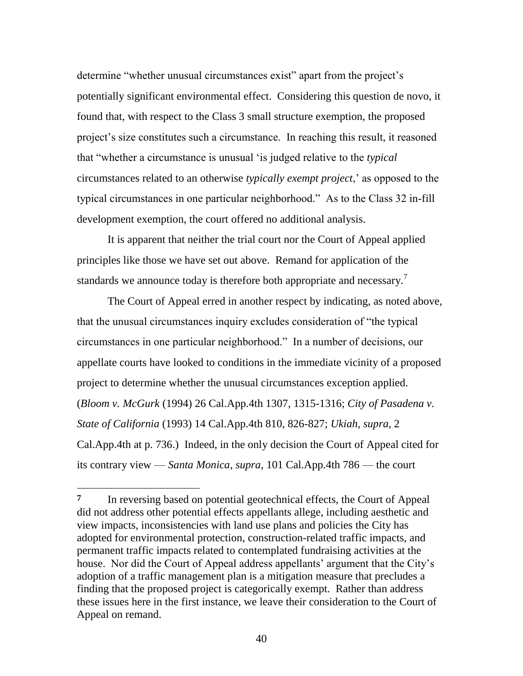determine "whether unusual circumstances exist" apart from the project's potentially significant environmental effect. Considering this question de novo, it found that, with respect to the Class 3 small structure exemption, the proposed project's size constitutes such a circumstance. In reaching this result, it reasoned that ―whether a circumstance is unusual ‗is judged relative to the *typical* circumstances related to an otherwise *typically exempt project*,' as opposed to the typical circumstances in one particular neighborhood.‖ As to the Class 32 in-fill development exemption, the court offered no additional analysis.

It is apparent that neither the trial court nor the Court of Appeal applied principles like those we have set out above. Remand for application of the standards we announce today is therefore both appropriate and necessary.<sup>7</sup>

The Court of Appeal erred in another respect by indicating, as noted above, that the unusual circumstances inquiry excludes consideration of "the typical" circumstances in one particular neighborhood." In a number of decisions, our appellate courts have looked to conditions in the immediate vicinity of a proposed project to determine whether the unusual circumstances exception applied. (*Bloom v. McGurk* (1994) 26 Cal.App.4th 1307, 1315-1316; *City of Pasadena v. State of California* (1993) 14 Cal.App.4th 810, 826-827; *Ukiah*, *supra*, 2 Cal.App.4th at p. 736.) Indeed, in the only decision the Court of Appeal cited for its contrary view — *Santa Monica*, *supra*, 101 Cal.App.4th 786 — the court

l

**<sup>7</sup>** In reversing based on potential geotechnical effects, the Court of Appeal did not address other potential effects appellants allege, including aesthetic and view impacts, inconsistencies with land use plans and policies the City has adopted for environmental protection, construction-related traffic impacts, and permanent traffic impacts related to contemplated fundraising activities at the house. Nor did the Court of Appeal address appellants' argument that the City's adoption of a traffic management plan is a mitigation measure that precludes a finding that the proposed project is categorically exempt. Rather than address these issues here in the first instance, we leave their consideration to the Court of Appeal on remand.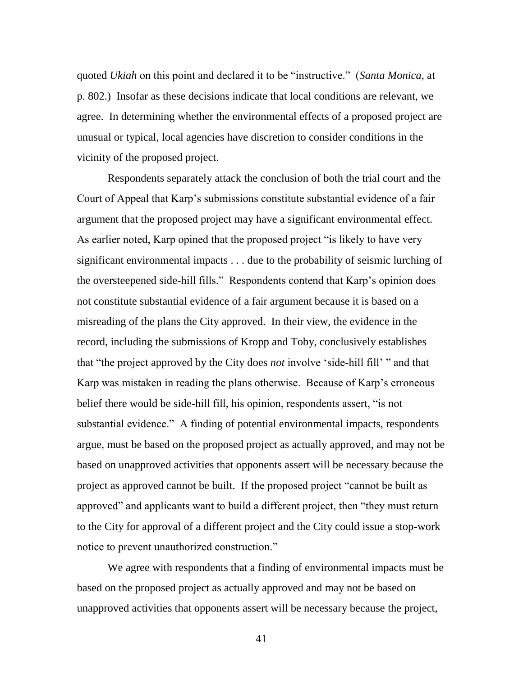quoted *Ukiah* on this point and declared it to be "instructive." (*Santa Monica*, at p. 802.) Insofar as these decisions indicate that local conditions are relevant, we agree. In determining whether the environmental effects of a proposed project are unusual or typical, local agencies have discretion to consider conditions in the vicinity of the proposed project.

Respondents separately attack the conclusion of both the trial court and the Court of Appeal that Karp's submissions constitute substantial evidence of a fair argument that the proposed project may have a significant environmental effect. As earlier noted, Karp opined that the proposed project "is likely to have very significant environmental impacts . . . due to the probability of seismic lurching of the oversteepened side-hill fills." Respondents contend that Karp's opinion does not constitute substantial evidence of a fair argument because it is based on a misreading of the plans the City approved. In their view, the evidence in the record, including the submissions of Kropp and Toby, conclusively establishes that "the project approved by the City does *not* involve 'side-hill fill' " and that Karp was mistaken in reading the plans otherwise. Because of Karp's erroneous belief there would be side-hill fill, his opinion, respondents assert, "is not substantial evidence." A finding of potential environmental impacts, respondents argue, must be based on the proposed project as actually approved, and may not be based on unapproved activities that opponents assert will be necessary because the project as approved cannot be built. If the proposed project "cannot be built as approved" and applicants want to build a different project, then "they must return to the City for approval of a different project and the City could issue a stop-work notice to prevent unauthorized construction."

We agree with respondents that a finding of environmental impacts must be based on the proposed project as actually approved and may not be based on unapproved activities that opponents assert will be necessary because the project,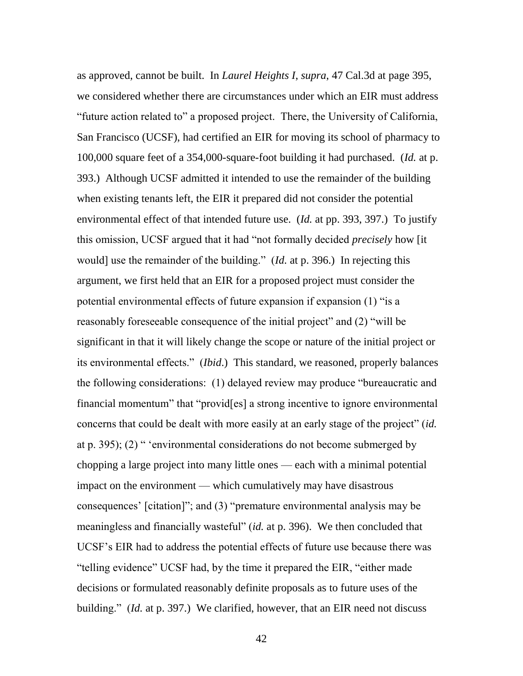as approved, cannot be built. In *Laurel Heights I*, *supra*, 47 Cal.3d at page 395, we considered whether there are circumstances under which an EIR must address "future action related to" a proposed project. There, the University of California, San Francisco (UCSF), had certified an EIR for moving its school of pharmacy to 100,000 square feet of a 354,000-square-foot building it had purchased. (*Id.* at p. 393.) Although UCSF admitted it intended to use the remainder of the building when existing tenants left, the EIR it prepared did not consider the potential environmental effect of that intended future use. (*Id.* at pp. 393, 397.) To justify this omission, UCSF argued that it had "not formally decided *precisely* how [it] would] use the remainder of the building." (*Id.* at p. 396.) In rejecting this argument, we first held that an EIR for a proposed project must consider the potential environmental effects of future expansion if expansion (1) "is a reasonably foreseeable consequence of the initial project" and (2) "will be significant in that it will likely change the scope or nature of the initial project or its environmental effects." *(Ibid.)* This standard, we reasoned, properly balances the following considerations: (1) delayed review may produce "bureaucratic and financial momentum" that "provid[es] a strong incentive to ignore environmental concerns that could be dealt with more easily at an early stage of the project" *(id.*) at p. 395); (2)  $\degree$  'environmental considerations do not become submerged by chopping a large project into many little ones — each with a minimal potential impact on the environment — which cumulatively may have disastrous consequences' [citation]"; and  $(3)$  "premature environmental analysis may be meaningless and financially wasteful" *(id.* at p. 396). We then concluded that UCSF's EIR had to address the potential effects of future use because there was "telling evidence" UCSF had, by the time it prepared the EIR, "either made" decisions or formulated reasonably definite proposals as to future uses of the building." *(Id.* at p. 397.) We clarified, however, that an EIR need not discuss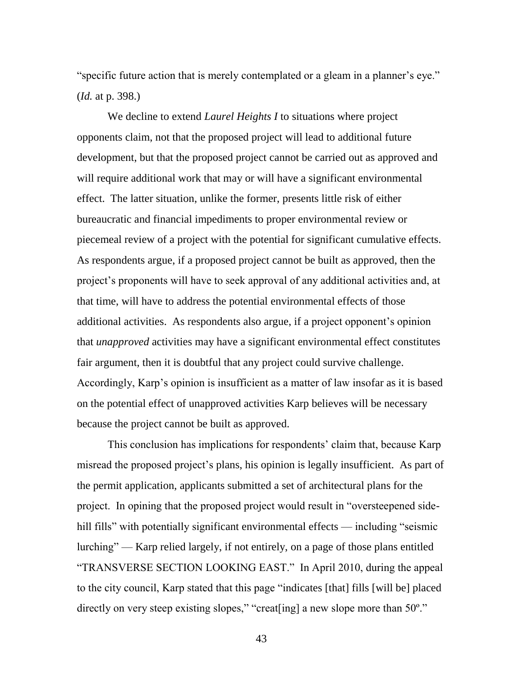"specific future action that is merely contemplated or a gleam in a planner's eye." (*Id.* at p. 398.)

We decline to extend *Laurel Heights I* to situations where project opponents claim, not that the proposed project will lead to additional future development, but that the proposed project cannot be carried out as approved and will require additional work that may or will have a significant environmental effect. The latter situation, unlike the former, presents little risk of either bureaucratic and financial impediments to proper environmental review or piecemeal review of a project with the potential for significant cumulative effects. As respondents argue, if a proposed project cannot be built as approved, then the project's proponents will have to seek approval of any additional activities and, at that time, will have to address the potential environmental effects of those additional activities. As respondents also argue, if a project opponent's opinion that *unapproved* activities may have a significant environmental effect constitutes fair argument, then it is doubtful that any project could survive challenge. Accordingly, Karp's opinion is insufficient as a matter of law insofar as it is based on the potential effect of unapproved activities Karp believes will be necessary because the project cannot be built as approved.

This conclusion has implications for respondents' claim that, because Karp misread the proposed project's plans, his opinion is legally insufficient. As part of the permit application, applicants submitted a set of architectural plans for the project. In opining that the proposed project would result in "oversteepened sidehill fills" with potentially significant environmental effects — including "seismic lurching" — Karp relied largely, if not entirely, on a page of those plans entitled "TRANSVERSE SECTION LOOKING EAST." In April 2010, during the appeal to the city council, Karp stated that this page "indicates [that] fills [will be] placed directly on very steep existing slopes," "creat [ing] a new slope more than  $50^{\circ}$ ."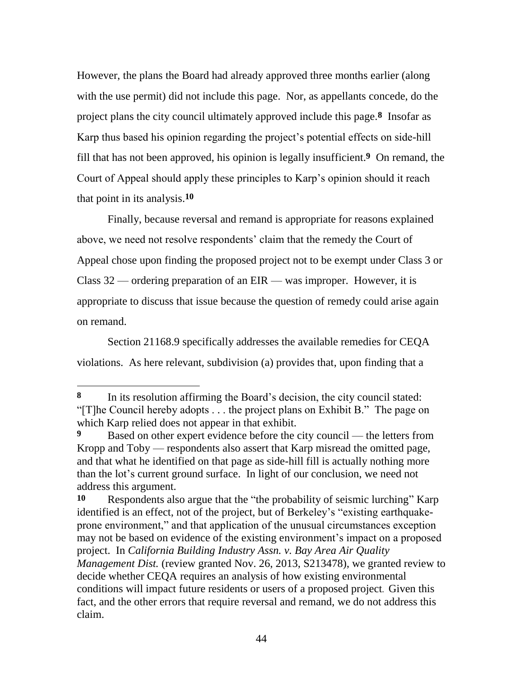However, the plans the Board had already approved three months earlier (along with the use permit) did not include this page. Nor, as appellants concede, do the project plans the city council ultimately approved include this page.**8** Insofar as Karp thus based his opinion regarding the project's potential effects on side-hill fill that has not been approved, his opinion is legally insufficient.**9** On remand, the Court of Appeal should apply these principles to Karp's opinion should it reach that point in its analysis.**10**

Finally, because reversal and remand is appropriate for reasons explained above, we need not resolve respondents' claim that the remedy the Court of Appeal chose upon finding the proposed project not to be exempt under Class 3 or Class 32 — ordering preparation of an EIR — was improper. However, it is appropriate to discuss that issue because the question of remedy could arise again on remand.

Section 21168.9 specifically addresses the available remedies for CEQA violations. As here relevant, subdivision (a) provides that, upon finding that a

l

**<sup>8</sup>** In its resolution affirming the Board's decision, the city council stated: "[T]he Council hereby adopts  $\dots$  the project plans on Exhibit B." The page on which Karp relied does not appear in that exhibit.

**<sup>9</sup>** Based on other expert evidence before the city council — the letters from Kropp and Toby — respondents also assert that Karp misread the omitted page, and that what he identified on that page as side-hill fill is actually nothing more than the lot's current ground surface. In light of our conclusion, we need not address this argument.

<sup>10</sup> Respondents also argue that the "the probability of seismic lurching" Karp identified is an effect, not of the project, but of Berkeley's "existing earthquakeprone environment," and that application of the unusual circumstances exception may not be based on evidence of the existing environment's impact on a proposed project. In *California Building Industry Assn. v. Bay Area Air Quality Management Dist.* (review granted Nov. 26, 2013, S213478), we granted review to decide whether CEQA requires an analysis of how existing environmental conditions will impact future residents or users of a proposed project. Given this fact, and the other errors that require reversal and remand, we do not address this claim.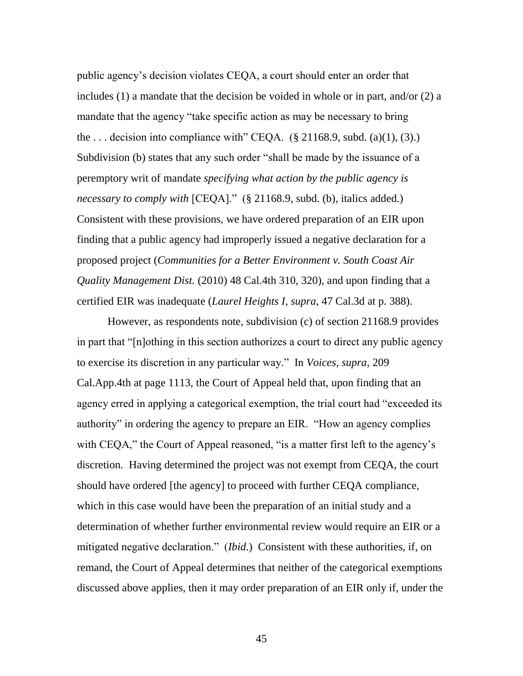public agency's decision violates CEQA, a court should enter an order that includes (1) a mandate that the decision be voided in whole or in part, and/or (2) a mandate that the agency "take specific action as may be necessary to bring the ... decision into compliance with" CEQA.  $(\S$  21168.9, subd. (a)(1), (3).) Subdivision (b) states that any such order "shall be made by the issuance of a peremptory writ of mandate *specifying what action by the public agency is necessary to comply with* [CEQA]." (§ 21168.9, subd. (b), italics added.) Consistent with these provisions, we have ordered preparation of an EIR upon finding that a public agency had improperly issued a negative declaration for a proposed project (*Communities for a Better Environment v. South Coast Air Quality Management Dist.* (2010) 48 Cal.4th 310, 320), and upon finding that a certified EIR was inadequate (*Laurel Heights I*, *supra*, 47 Cal.3d at p. 388).

However, as respondents note, subdivision (c) of section 21168.9 provides in part that "[n]othing in this section authorizes a court to direct any public agency to exercise its discretion in any particular way.‖ In *Voices*, *supra*, 209 Cal.App.4th at page 1113, the Court of Appeal held that, upon finding that an agency erred in applying a categorical exemption, the trial court had "exceeded its authority" in ordering the agency to prepare an EIR. "How an agency complies with CEQA," the Court of Appeal reasoned, "is a matter first left to the agency's discretion. Having determined the project was not exempt from CEQA, the court should have ordered [the agency] to proceed with further CEQA compliance, which in this case would have been the preparation of an initial study and a determination of whether further environmental review would require an EIR or a mitigated negative declaration." *(Ibid.)* Consistent with these authorities, if, on remand, the Court of Appeal determines that neither of the categorical exemptions discussed above applies, then it may order preparation of an EIR only if, under the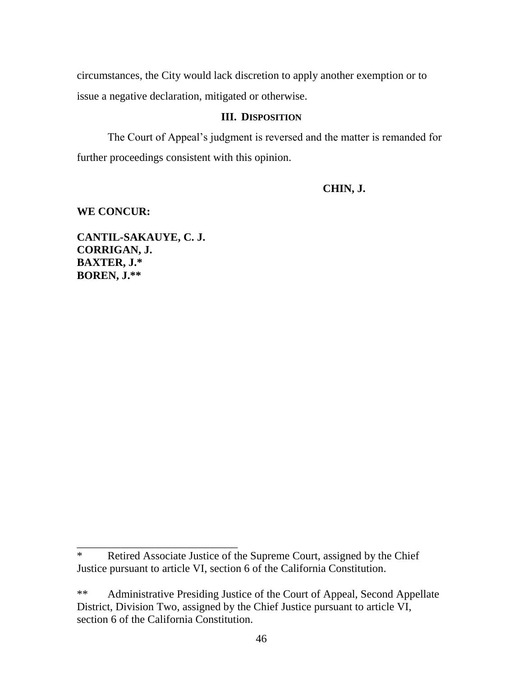circumstances, the City would lack discretion to apply another exemption or to issue a negative declaration, mitigated or otherwise.

## **III. DISPOSITION**

The Court of Appeal's judgment is reversed and the matter is remanded for further proceedings consistent with this opinion.

# **CHIN, J.**

# **WE CONCUR:**

**CANTIL-SAKAUYE, C. J. CORRIGAN, J. BAXTER, J.\* BOREN, J.\*\***

\_\_\_\_\_\_\_\_\_\_\_\_\_\_\_\_\_\_\_\_\_\_\_\_\_\_\_\_\_

<sup>\*</sup> Retired Associate Justice of the Supreme Court, assigned by the Chief Justice pursuant to article VI, section 6 of the California Constitution.

<sup>\*\*</sup> Administrative Presiding Justice of the Court of Appeal, Second Appellate District, Division Two, assigned by the Chief Justice pursuant to article VI, section 6 of the California Constitution.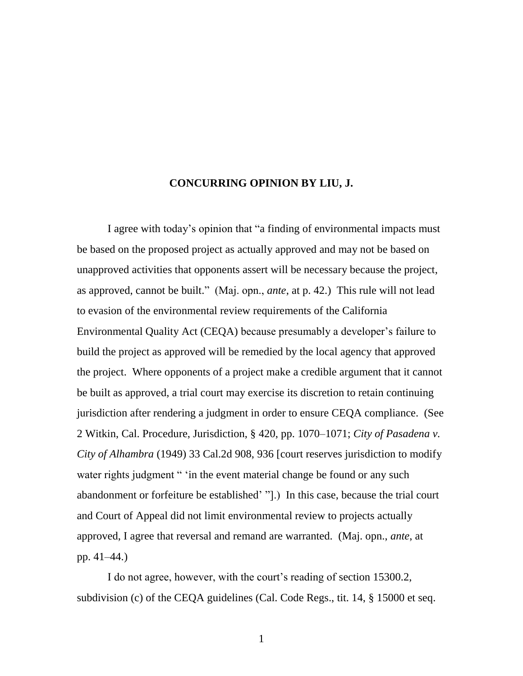#### **CONCURRING OPINION BY LIU, J.**

I agree with today's opinion that "a finding of environmental impacts must be based on the proposed project as actually approved and may not be based on unapproved activities that opponents assert will be necessary because the project, as approved, cannot be built." (Maj. opn., *ante*, at p. 42.) This rule will not lead to evasion of the environmental review requirements of the California Environmental Quality Act (CEQA) because presumably a developer's failure to build the project as approved will be remedied by the local agency that approved the project. Where opponents of a project make a credible argument that it cannot be built as approved, a trial court may exercise its discretion to retain continuing jurisdiction after rendering a judgment in order to ensure CEQA compliance. (See 2 Witkin, Cal. Procedure, Jurisdiction, § 420, pp. 1070–1071; *City of Pasadena v. City of Alhambra* (1949) 33 Cal.2d 908, 936 [court reserves jurisdiction to modify water rights judgment " 'in the event material change be found or any such abandonment or forfeiture be established' "].) In this case, because the trial court and Court of Appeal did not limit environmental review to projects actually approved, I agree that reversal and remand are warranted. (Maj. opn., *ante*, at pp. 41–44.)

I do not agree, however, with the court's reading of section 15300.2, subdivision (c) of the CEQA guidelines (Cal. Code Regs., tit. 14, § 15000 et seq.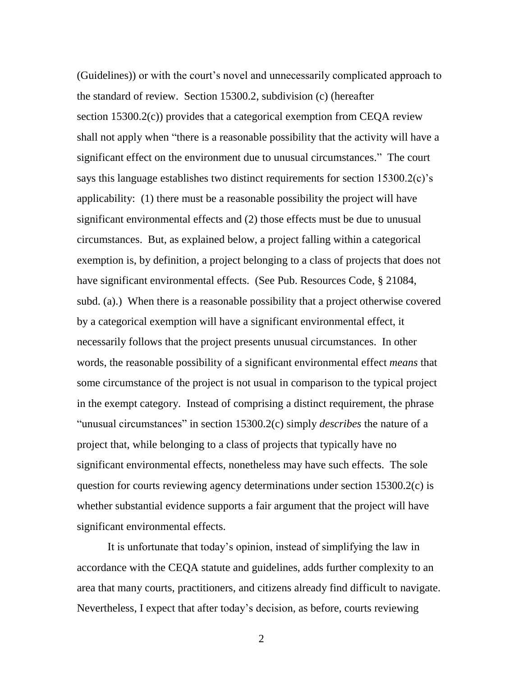(Guidelines)) or with the court's novel and unnecessarily complicated approach to the standard of review. Section 15300.2, subdivision (c) (hereafter section 15300.2(c)) provides that a categorical exemption from CEQA review shall not apply when "there is a reasonable possibility that the activity will have a significant effect on the environment due to unusual circumstances." The court says this language establishes two distinct requirements for section 15300.2(c)'s applicability: (1) there must be a reasonable possibility the project will have significant environmental effects and (2) those effects must be due to unusual circumstances. But, as explained below, a project falling within a categorical exemption is, by definition, a project belonging to a class of projects that does not have significant environmental effects. (See Pub. Resources Code, § 21084, subd. (a).) When there is a reasonable possibility that a project otherwise covered by a categorical exemption will have a significant environmental effect, it necessarily follows that the project presents unusual circumstances. In other words, the reasonable possibility of a significant environmental effect *means* that some circumstance of the project is not usual in comparison to the typical project in the exempt category. Instead of comprising a distinct requirement, the phrase "unusual circumstances" in section 15300.2(c) simply *describes* the nature of a project that, while belonging to a class of projects that typically have no significant environmental effects, nonetheless may have such effects. The sole question for courts reviewing agency determinations under section 15300.2(c) is whether substantial evidence supports a fair argument that the project will have significant environmental effects.

It is unfortunate that today's opinion, instead of simplifying the law in accordance with the CEQA statute and guidelines, adds further complexity to an area that many courts, practitioners, and citizens already find difficult to navigate. Nevertheless, I expect that after today's decision, as before, courts reviewing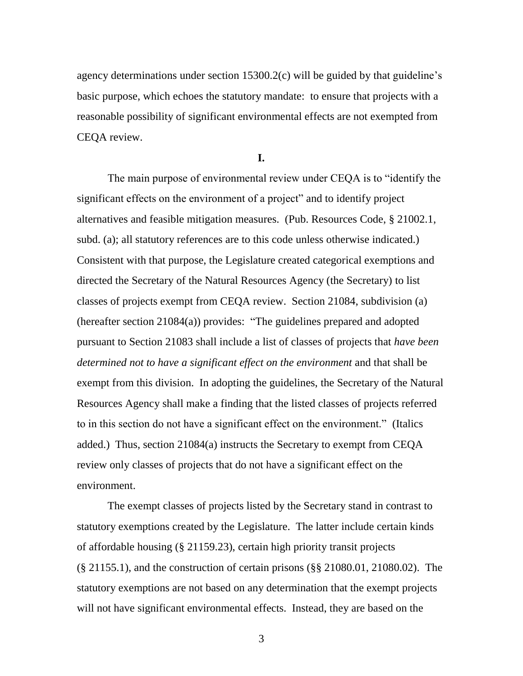agency determinations under section 15300.2(c) will be guided by that guideline's basic purpose, which echoes the statutory mandate: to ensure that projects with a reasonable possibility of significant environmental effects are not exempted from CEQA review.

**I.**

The main purpose of environmental review under CEQA is to "identify the significant effects on the environment of a project" and to identify project alternatives and feasible mitigation measures. (Pub. Resources Code, § 21002.1, subd. (a); all statutory references are to this code unless otherwise indicated.) Consistent with that purpose, the Legislature created categorical exemptions and directed the Secretary of the Natural Resources Agency (the Secretary) to list classes of projects exempt from CEQA review. Section 21084, subdivision (a) (hereafter section  $21084(a)$ ) provides: "The guidelines prepared and adopted pursuant to Section 21083 shall include a list of classes of projects that *have been determined not to have a significant effect on the environment* and that shall be exempt from this division. In adopting the guidelines, the Secretary of the Natural Resources Agency shall make a finding that the listed classes of projects referred to in this section do not have a significant effect on the environment." (Italics added.) Thus, section 21084(a) instructs the Secretary to exempt from CEQA review only classes of projects that do not have a significant effect on the environment.

The exempt classes of projects listed by the Secretary stand in contrast to statutory exemptions created by the Legislature. The latter include certain kinds of affordable housing (§ 21159.23), certain high priority transit projects (§ 21155.1), and the construction of certain prisons (§§ 21080.01, 21080.02). The statutory exemptions are not based on any determination that the exempt projects will not have significant environmental effects. Instead, they are based on the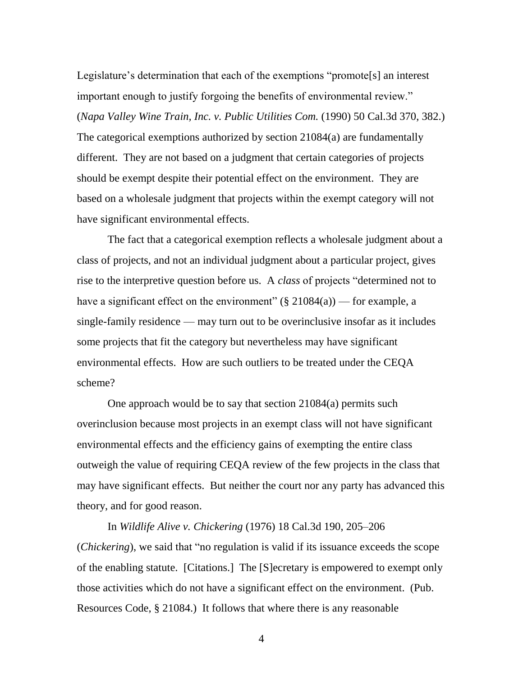Legislature's determination that each of the exemptions "promote<sup>[s]</sup> an interest important enough to justify forgoing the benefits of environmental review." (*Napa Valley Wine Train, Inc. v. Public Utilities Com.* (1990) 50 Cal.3d 370, 382.) The categorical exemptions authorized by section 21084(a) are fundamentally different. They are not based on a judgment that certain categories of projects should be exempt despite their potential effect on the environment. They are based on a wholesale judgment that projects within the exempt category will not have significant environmental effects.

The fact that a categorical exemption reflects a wholesale judgment about a class of projects, and not an individual judgment about a particular project, gives rise to the interpretive question before us. A *class* of projects "determined not to have a significant effect on the environment" (§ 21084(a)) — for example, a single-family residence — may turn out to be overinclusive insofar as it includes some projects that fit the category but nevertheless may have significant environmental effects. How are such outliers to be treated under the CEQA scheme?

One approach would be to say that section 21084(a) permits such overinclusion because most projects in an exempt class will not have significant environmental effects and the efficiency gains of exempting the entire class outweigh the value of requiring CEQA review of the few projects in the class that may have significant effects. But neither the court nor any party has advanced this theory, and for good reason.

In *Wildlife Alive v. Chickering* (1976) 18 Cal.3d 190, 205–206 (*Chickering*), we said that "no regulation is valid if its issuance exceeds the scope of the enabling statute. [Citations.] The [S]ecretary is empowered to exempt only those activities which do not have a significant effect on the environment. (Pub. Resources Code, § 21084.) It follows that where there is any reasonable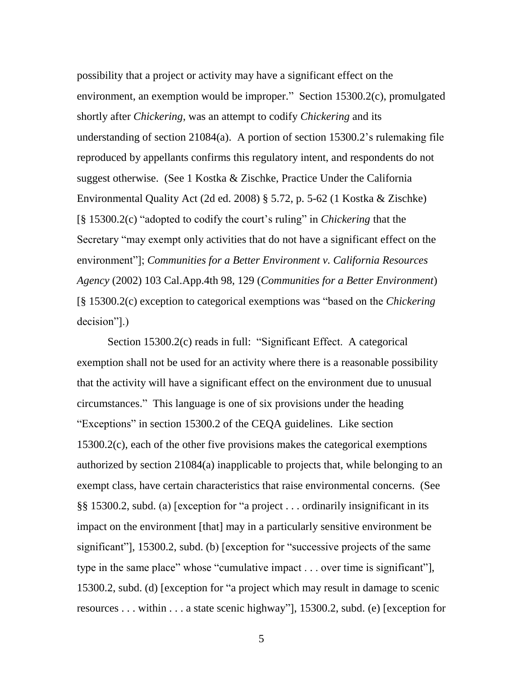possibility that a project or activity may have a significant effect on the environment, an exemption would be improper." Section  $15300.2(c)$ , promulgated shortly after *Chickering*, was an attempt to codify *Chickering* and its understanding of section 21084(a). A portion of section 15300.2's rulemaking file reproduced by appellants confirms this regulatory intent, and respondents do not suggest otherwise. (See 1 Kostka & Zischke, Practice Under the California Environmental Quality Act (2d ed. 2008) § 5.72, p. 5-62 (1 Kostka & Zischke) [§ 15300.2(c) "adopted to codify the court's ruling" in *Chickering* that the Secretary "may exempt only activities that do not have a significant effect on the environment"]; *Communities for a Better Environment v. California Resources Agency* (2002) 103 Cal.App.4th 98, 129 (*Communities for a Better Environment*) [§ 15300.2(c) exception to categorical exemptions was ―based on the *Chickering* decision"].)

Section 15300.2(c) reads in full: "Significant Effect. A categorical exemption shall not be used for an activity where there is a reasonable possibility that the activity will have a significant effect on the environment due to unusual circumstances.‖ This language is one of six provisions under the heading "Exceptions" in section 15300.2 of the CEQA guidelines. Like section 15300.2(c), each of the other five provisions makes the categorical exemptions authorized by section 21084(a) inapplicable to projects that, while belonging to an exempt class, have certain characteristics that raise environmental concerns. (See  $\S$ § 15300.2, subd. (a) [exception for "a project ... ordinarily insignificant in its impact on the environment [that] may in a particularly sensitive environment be significant", 15300.2, subd. (b) [exception for "successive projects of the same type in the same place" whose "cumulative impact  $\ldots$  over time is significant"], 15300.2, subd. (d) [exception for "a project which may result in damage to scenic resources  $\dots$  within  $\dots$  a state scenic highway"], 15300.2, subd. (e) [exception for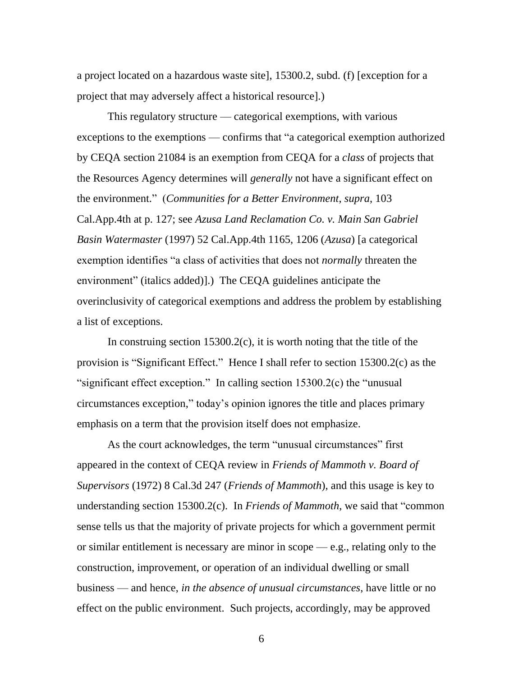a project located on a hazardous waste site], 15300.2, subd. (f) [exception for a project that may adversely affect a historical resource].)

This regulatory structure — categorical exemptions, with various exceptions to the exemptions — confirms that "a categorical exemption authorized by CEQA section 21084 is an exemption from CEQA for a *class* of projects that the Resources Agency determines will *generally* not have a significant effect on the environment.‖ (*Communities for a Better Environment*, *supra*, 103 Cal.App.4th at p. 127; see *Azusa Land Reclamation Co. v. Main San Gabriel Basin Watermaster* (1997) 52 Cal.App.4th 1165, 1206 (*Azusa*) [a categorical exemption identifies "a class of activities that does not *normally* threaten the environment" (italics added)].) The CEQA guidelines anticipate the overinclusivity of categorical exemptions and address the problem by establishing a list of exceptions.

In construing section  $15300.2(c)$ , it is worth noting that the title of the provision is "Significant Effect." Hence I shall refer to section  $15300.2(c)$  as the "significant effect exception." In calling section  $15300.2(c)$  the "unusual circumstances exception," today's opinion ignores the title and places primary emphasis on a term that the provision itself does not emphasize.

As the court acknowledges, the term "unusual circumstances" first appeared in the context of CEQA review in *Friends of Mammoth v. Board of Supervisors* (1972) 8 Cal.3d 247 (*Friends of Mammoth*), and this usage is key to understanding section 15300.2(c). In *Friends of Mammoth*, we said that "common sense tells us that the majority of private projects for which a government permit or similar entitlement is necessary are minor in scope — e.g., relating only to the construction, improvement, or operation of an individual dwelling or small business — and hence, *in the absence of unusual circumstances*, have little or no effect on the public environment. Such projects, accordingly, may be approved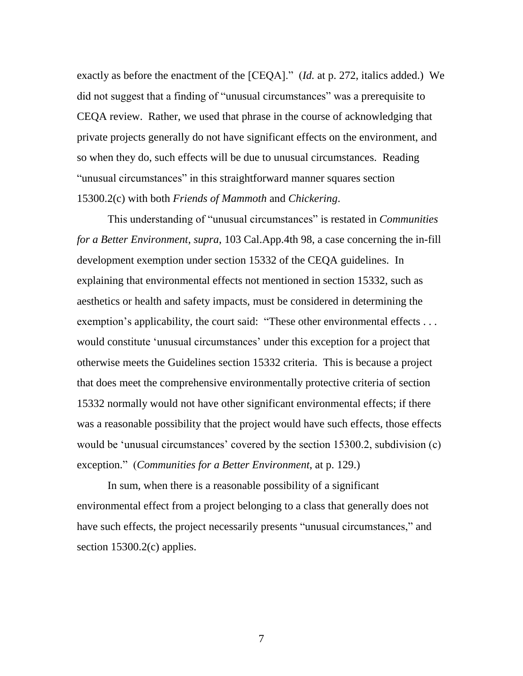exactly as before the enactment of the [CEQA]." *(Id.* at p. 272, italics added.) We did not suggest that a finding of "unusual circumstances" was a prerequisite to CEQA review. Rather, we used that phrase in the course of acknowledging that private projects generally do not have significant effects on the environment, and so when they do, such effects will be due to unusual circumstances. Reading "unusual circumstances" in this straightforward manner squares section 15300.2(c) with both *Friends of Mammoth* and *Chickering*.

This understanding of "unusual circumstances" is restated in *Communities for a Better Environment*, *supra*, 103 Cal.App.4th 98, a case concerning the in-fill development exemption under section 15332 of the CEQA guidelines. In explaining that environmental effects not mentioned in section 15332, such as aesthetics or health and safety impacts, must be considered in determining the exemption's applicability, the court said: "These other environmental effects . . . would constitute 'unusual circumstances' under this exception for a project that otherwise meets the Guidelines section 15332 criteria. This is because a project that does meet the comprehensive environmentally protective criteria of section 15332 normally would not have other significant environmental effects; if there was a reasonable possibility that the project would have such effects, those effects would be 'unusual circumstances' covered by the section 15300.2, subdivision (c) exception.‖ (*Communities for a Better Environment*, at p. 129.)

In sum, when there is a reasonable possibility of a significant environmental effect from a project belonging to a class that generally does not have such effects, the project necessarily presents "unusual circumstances," and section 15300.2(c) applies.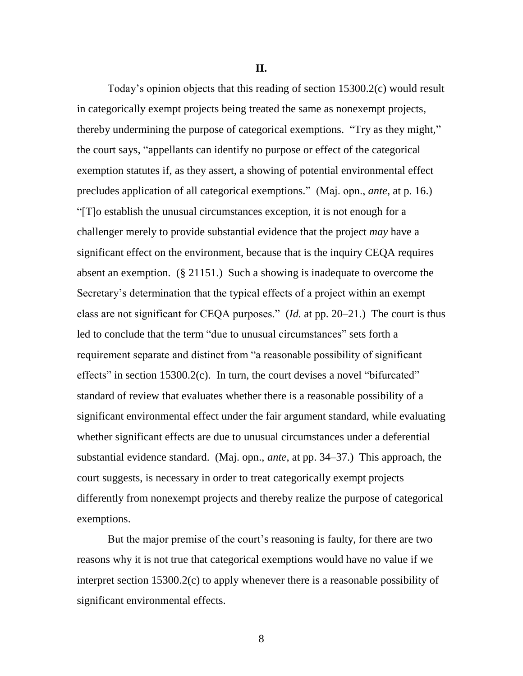**II.**

Today's opinion objects that this reading of section 15300.2(c) would result in categorically exempt projects being treated the same as nonexempt projects, thereby undermining the purpose of categorical exemptions. "Try as they might," the court says, "appellants can identify no purpose or effect of the categorical exemption statutes if, as they assert, a showing of potential environmental effect precludes application of all categorical exemptions.‖ (Maj. opn., *ante*, at p. 16.) ―[T]o establish the unusual circumstances exception, it is not enough for a challenger merely to provide substantial evidence that the project *may* have a significant effect on the environment, because that is the inquiry CEQA requires absent an exemption. (§ 21151.) Such a showing is inadequate to overcome the Secretary's determination that the typical effects of a project within an exempt class are not significant for CEQA purposes." (*Id.* at pp. 20–21.) The court is thus led to conclude that the term "due to unusual circumstances" sets forth a requirement separate and distinct from "a reasonable possibility of significant effects" in section  $15300.2(c)$ . In turn, the court devises a novel "bifurcated" standard of review that evaluates whether there is a reasonable possibility of a significant environmental effect under the fair argument standard, while evaluating whether significant effects are due to unusual circumstances under a deferential substantial evidence standard. (Maj. opn., *ante*, at pp. 34–37.) This approach, the court suggests, is necessary in order to treat categorically exempt projects differently from nonexempt projects and thereby realize the purpose of categorical exemptions.

But the major premise of the court's reasoning is faulty, for there are two reasons why it is not true that categorical exemptions would have no value if we interpret section 15300.2(c) to apply whenever there is a reasonable possibility of significant environmental effects.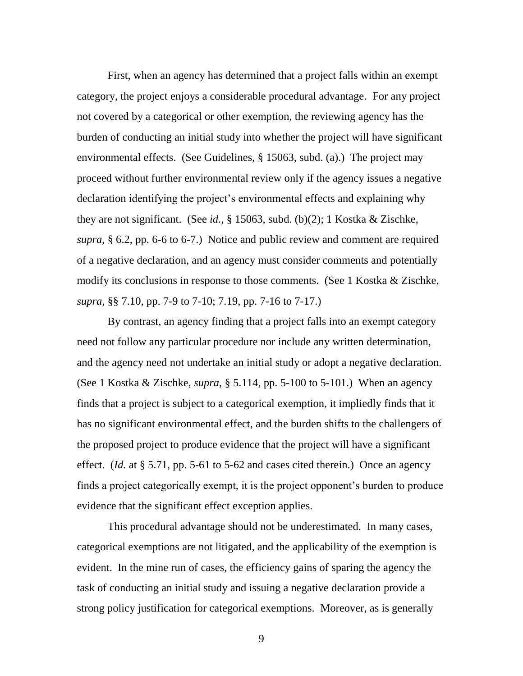First, when an agency has determined that a project falls within an exempt category, the project enjoys a considerable procedural advantage. For any project not covered by a categorical or other exemption, the reviewing agency has the burden of conducting an initial study into whether the project will have significant environmental effects. (See Guidelines, § 15063, subd. (a).) The project may proceed without further environmental review only if the agency issues a negative declaration identifying the project's environmental effects and explaining why they are not significant. (See *id.*, § 15063, subd. (b)(2); 1 Kostka & Zischke, *supra*, § 6.2, pp. 6-6 to 6-7.) Notice and public review and comment are required of a negative declaration, and an agency must consider comments and potentially modify its conclusions in response to those comments. (See 1 Kostka & Zischke, *supra*, §§ 7.10, pp. 7-9 to 7-10; 7.19, pp. 7-16 to 7-17.)

By contrast, an agency finding that a project falls into an exempt category need not follow any particular procedure nor include any written determination, and the agency need not undertake an initial study or adopt a negative declaration. (See 1 Kostka & Zischke, *supra*, § 5.114, pp. 5-100 to 5-101.) When an agency finds that a project is subject to a categorical exemption, it impliedly finds that it has no significant environmental effect, and the burden shifts to the challengers of the proposed project to produce evidence that the project will have a significant effect. (*Id.* at § 5.71, pp. 5-61 to 5-62 and cases cited therein.) Once an agency finds a project categorically exempt, it is the project opponent's burden to produce evidence that the significant effect exception applies.

This procedural advantage should not be underestimated. In many cases, categorical exemptions are not litigated, and the applicability of the exemption is evident. In the mine run of cases, the efficiency gains of sparing the agency the task of conducting an initial study and issuing a negative declaration provide a strong policy justification for categorical exemptions. Moreover, as is generally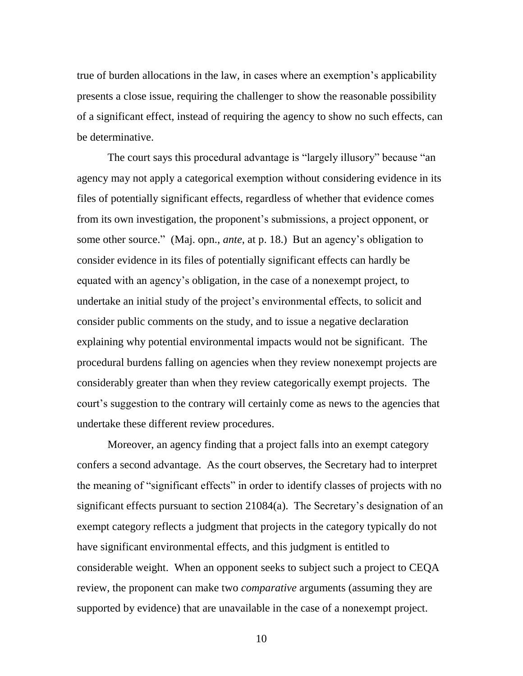true of burden allocations in the law, in cases where an exemption's applicability presents a close issue, requiring the challenger to show the reasonable possibility of a significant effect, instead of requiring the agency to show no such effects, can be determinative.

The court says this procedural advantage is "largely illusory" because "an agency may not apply a categorical exemption without considering evidence in its files of potentially significant effects, regardless of whether that evidence comes from its own investigation, the proponent's submissions, a project opponent, or some other source." (Maj. opn., *ante*, at p. 18.) But an agency's obligation to consider evidence in its files of potentially significant effects can hardly be equated with an agency's obligation, in the case of a nonexempt project, to undertake an initial study of the project's environmental effects, to solicit and consider public comments on the study, and to issue a negative declaration explaining why potential environmental impacts would not be significant. The procedural burdens falling on agencies when they review nonexempt projects are considerably greater than when they review categorically exempt projects. The court's suggestion to the contrary will certainly come as news to the agencies that undertake these different review procedures.

Moreover, an agency finding that a project falls into an exempt category confers a second advantage. As the court observes, the Secretary had to interpret the meaning of "significant effects" in order to identify classes of projects with no significant effects pursuant to section 21084(a). The Secretary's designation of an exempt category reflects a judgment that projects in the category typically do not have significant environmental effects, and this judgment is entitled to considerable weight. When an opponent seeks to subject such a project to CEQA review, the proponent can make two *comparative* arguments (assuming they are supported by evidence) that are unavailable in the case of a nonexempt project.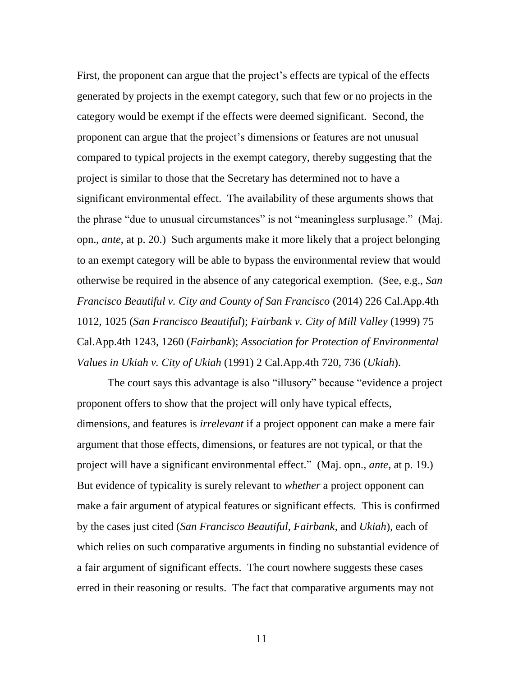First, the proponent can argue that the project's effects are typical of the effects generated by projects in the exempt category, such that few or no projects in the category would be exempt if the effects were deemed significant. Second, the proponent can argue that the project's dimensions or features are not unusual compared to typical projects in the exempt category, thereby suggesting that the project is similar to those that the Secretary has determined not to have a significant environmental effect. The availability of these arguments shows that the phrase "due to unusual circumstances" is not "meaningless surplusage." (Maj. opn., *ante*, at p. 20.) Such arguments make it more likely that a project belonging to an exempt category will be able to bypass the environmental review that would otherwise be required in the absence of any categorical exemption. (See, e.g., *San Francisco Beautiful v. City and County of San Francisco* (2014) 226 Cal.App.4th 1012, 1025 (*San Francisco Beautiful*); *Fairbank v. City of Mill Valley* (1999) 75 Cal.App.4th 1243, 1260 (*Fairbank*); *Association for Protection of Environmental Values in Ukiah v. City of Ukiah* (1991) 2 Cal.App.4th 720, 736 (*Ukiah*).

The court says this advantage is also "illusory" because "evidence a project proponent offers to show that the project will only have typical effects, dimensions, and features is *irrelevant* if a project opponent can make a mere fair argument that those effects, dimensions, or features are not typical, or that the project will have a significant environmental effect.‖ (Maj. opn., *ante*, at p. 19.) But evidence of typicality is surely relevant to *whether* a project opponent can make a fair argument of atypical features or significant effects. This is confirmed by the cases just cited (*San Francisco Beautiful*, *Fairbank*, and *Ukiah*), each of which relies on such comparative arguments in finding no substantial evidence of a fair argument of significant effects. The court nowhere suggests these cases erred in their reasoning or results. The fact that comparative arguments may not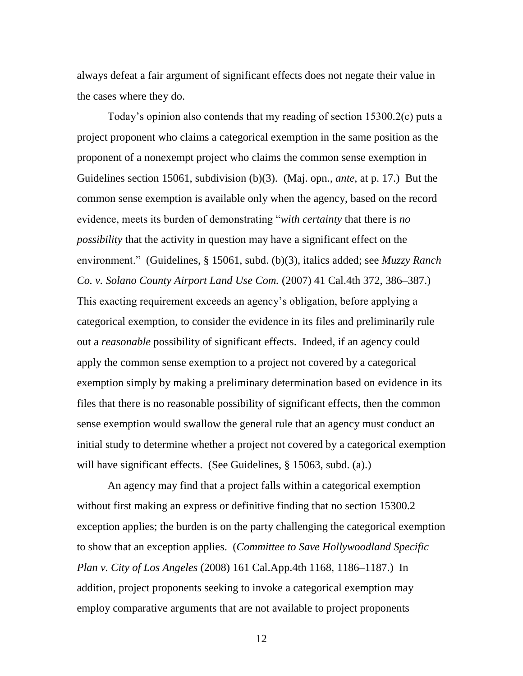always defeat a fair argument of significant effects does not negate their value in the cases where they do.

Today's opinion also contends that my reading of section 15300.2(c) puts a project proponent who claims a categorical exemption in the same position as the proponent of a nonexempt project who claims the common sense exemption in Guidelines section 15061, subdivision (b)(3). (Maj. opn., *ante*, at p. 17.) But the common sense exemption is available only when the agency, based on the record evidence, meets its burden of demonstrating "*with certainty* that there is *no possibility* that the activity in question may have a significant effect on the environment.‖ (Guidelines, § 15061, subd. (b)(3), italics added; see *Muzzy Ranch Co. v. Solano County Airport Land Use Com.* (2007) 41 Cal.4th 372, 386–387.) This exacting requirement exceeds an agency's obligation, before applying a categorical exemption, to consider the evidence in its files and preliminarily rule out a *reasonable* possibility of significant effects. Indeed, if an agency could apply the common sense exemption to a project not covered by a categorical exemption simply by making a preliminary determination based on evidence in its files that there is no reasonable possibility of significant effects, then the common sense exemption would swallow the general rule that an agency must conduct an initial study to determine whether a project not covered by a categorical exemption will have significant effects. (See Guidelines, § 15063, subd. (a).)

An agency may find that a project falls within a categorical exemption without first making an express or definitive finding that no section 15300.2 exception applies; the burden is on the party challenging the categorical exemption to show that an exception applies. (*Committee to Save Hollywoodland Specific Plan v. City of Los Angeles* (2008) 161 Cal.App.4th 1168, 1186–1187.) In addition, project proponents seeking to invoke a categorical exemption may employ comparative arguments that are not available to project proponents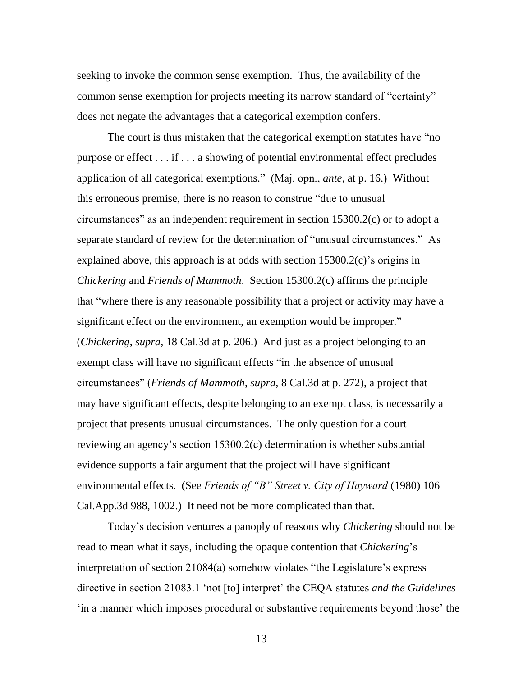seeking to invoke the common sense exemption. Thus, the availability of the common sense exemption for projects meeting its narrow standard of "certainty" does not negate the advantages that a categorical exemption confers.

The court is thus mistaken that the categorical exemption statutes have "no purpose or effect . . . if . . . a showing of potential environmental effect precludes application of all categorical exemptions.‖ (Maj. opn., *ante*, at p. 16.) Without this erroneous premise, there is no reason to construe "due to unusual circumstances" as an independent requirement in section  $15300.2(c)$  or to adopt a separate standard of review for the determination of "unusual circumstances." As explained above, this approach is at odds with section 15300.2(c)'s origins in *Chickering* and *Friends of Mammoth*. Section 15300.2(c) affirms the principle that "where there is any reasonable possibility that a project or activity may have a significant effect on the environment, an exemption would be improper." (*Chickering*, *supra*, 18 Cal.3d at p. 206.) And just as a project belonging to an exempt class will have no significant effects "in the absence of unusual circumstances‖ (*Friends of Mammoth*, *supra*, 8 Cal.3d at p. 272), a project that may have significant effects, despite belonging to an exempt class, is necessarily a project that presents unusual circumstances. The only question for a court reviewing an agency's section 15300.2(c) determination is whether substantial evidence supports a fair argument that the project will have significant environmental effects. (See *Friends of "B" Street v. City of Hayward* (1980) 106 Cal.App.3d 988, 1002.) It need not be more complicated than that.

Today's decision ventures a panoply of reasons why *Chickering* should not be read to mean what it says, including the opaque contention that *Chickering*'s interpretation of section 21084(a) somehow violates "the Legislature's express directive in section 21083.1 ‗not [to] interpret' the CEQA statutes *and the Guidelines* ‗in a manner which imposes procedural or substantive requirements beyond those' the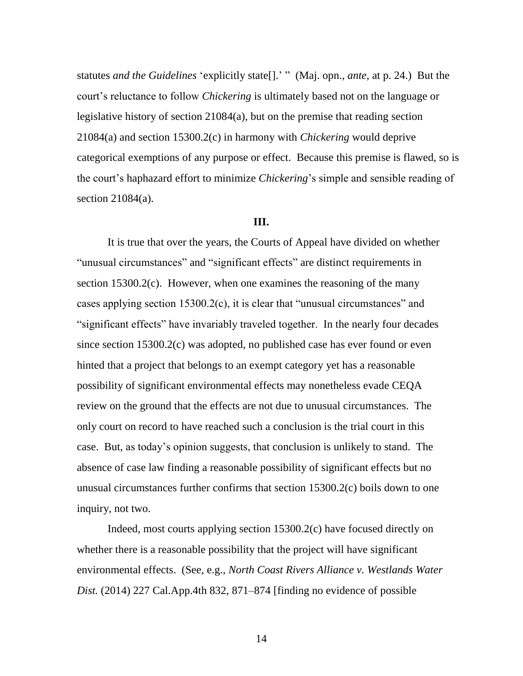statutes *and the Guidelines* 'explicitly state<sup>[]</sup>.' " (Maj. opn., *ante*, at p. 24.) But the court's reluctance to follow *Chickering* is ultimately based not on the language or legislative history of section 21084(a), but on the premise that reading section 21084(a) and section 15300.2(c) in harmony with *Chickering* would deprive categorical exemptions of any purpose or effect. Because this premise is flawed, so is the court's haphazard effort to minimize *Chickering*'s simple and sensible reading of section 21084(a).

#### **III.**

It is true that over the years, the Courts of Appeal have divided on whether "unusual circumstances" and "significant effects" are distinct requirements in section 15300.2(c). However, when one examines the reasoning of the many cases applying section  $15300.2(c)$ , it is clear that "unusual circumstances" and "significant effects" have invariably traveled together. In the nearly four decades since section 15300.2(c) was adopted, no published case has ever found or even hinted that a project that belongs to an exempt category yet has a reasonable possibility of significant environmental effects may nonetheless evade CEQA review on the ground that the effects are not due to unusual circumstances. The only court on record to have reached such a conclusion is the trial court in this case. But, as today's opinion suggests, that conclusion is unlikely to stand. The absence of case law finding a reasonable possibility of significant effects but no unusual circumstances further confirms that section 15300.2(c) boils down to one inquiry, not two.

Indeed, most courts applying section 15300.2(c) have focused directly on whether there is a reasonable possibility that the project will have significant environmental effects. (See, e.g., *North Coast Rivers Alliance v. Westlands Water Dist.* (2014) 227 Cal.App.4th 832, 871–874 [finding no evidence of possible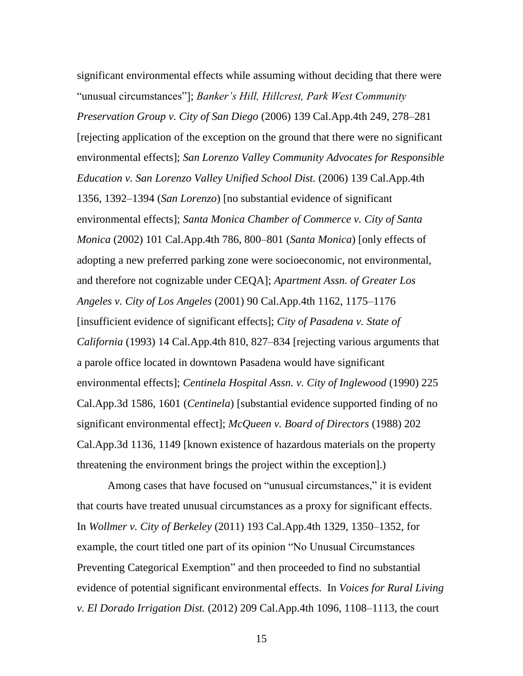significant environmental effects while assuming without deciding that there were ―unusual circumstances‖]; *Banker's Hill, Hillcrest, Park West Community Preservation Group v. City of San Diego* (2006) 139 Cal.App.4th 249, 278–281 [rejecting application of the exception on the ground that there were no significant environmental effects]; *San Lorenzo Valley Community Advocates for Responsible Education v. San Lorenzo Valley Unified School Dist.* (2006) 139 Cal.App.4th 1356, 1392–1394 (*San Lorenzo*) [no substantial evidence of significant environmental effects]; *Santa Monica Chamber of Commerce v. City of Santa Monica* (2002) 101 Cal.App.4th 786, 800–801 (*Santa Monica*) [only effects of adopting a new preferred parking zone were socioeconomic, not environmental, and therefore not cognizable under CEQA]; *Apartment Assn. of Greater Los Angeles v. City of Los Angeles* (2001) 90 Cal.App.4th 1162, 1175–1176 [insufficient evidence of significant effects]; *City of Pasadena v. State of California* (1993) 14 Cal.App.4th 810, 827–834 [rejecting various arguments that a parole office located in downtown Pasadena would have significant environmental effects]; *Centinela Hospital Assn. v. City of Inglewood* (1990) 225 Cal.App.3d 1586, 1601 (*Centinela*) [substantial evidence supported finding of no significant environmental effect]; *McQueen v. Board of Directors* (1988) 202 Cal.App.3d 1136, 1149 [known existence of hazardous materials on the property threatening the environment brings the project within the exception].)

Among cases that have focused on "unusual circumstances," it is evident that courts have treated unusual circumstances as a proxy for significant effects. In *Wollmer v. City of Berkeley* (2011) 193 Cal.App.4th 1329, 1350–1352, for example, the court titled one part of its opinion "No Unusual Circumstances" Preventing Categorical Exemption" and then proceeded to find no substantial evidence of potential significant environmental effects. In *Voices for Rural Living v. El Dorado Irrigation Dist.* (2012) 209 Cal.App.4th 1096, 1108–1113, the court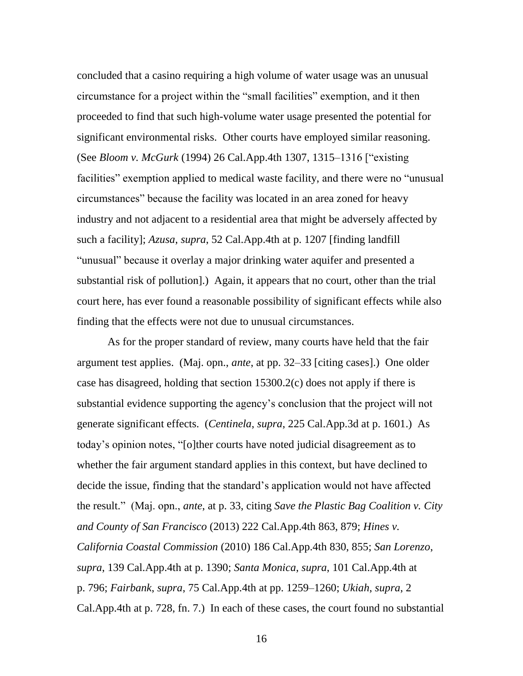concluded that a casino requiring a high volume of water usage was an unusual circumstance for a project within the "small facilities" exemption, and it then proceeded to find that such high-volume water usage presented the potential for significant environmental risks. Other courts have employed similar reasoning. (See *Bloom v. McGurk* (1994) 26 Cal.App.4th 1307, 1315–1316 ["existing") facilities" exemption applied to medical waste facility, and there were no "unusual circumstances‖ because the facility was located in an area zoned for heavy industry and not adjacent to a residential area that might be adversely affected by such a facility]; *Azusa*, *supra*, 52 Cal.App.4th at p. 1207 [finding landfill "unusual" because it overlay a major drinking water aquifer and presented a substantial risk of pollution].) Again, it appears that no court, other than the trial court here, has ever found a reasonable possibility of significant effects while also finding that the effects were not due to unusual circumstances.

As for the proper standard of review, many courts have held that the fair argument test applies. (Maj. opn., *ante*, at pp. 32–33 [citing cases].) One older case has disagreed, holding that section 15300.2(c) does not apply if there is substantial evidence supporting the agency's conclusion that the project will not generate significant effects. (*Centinela*, *supra*, 225 Cal.App.3d at p. 1601.) As today's opinion notes, "[o]ther courts have noted judicial disagreement as to whether the fair argument standard applies in this context, but have declined to decide the issue, finding that the standard's application would not have affected the result.‖ (Maj. opn., *ante*, at p. 33, citing *Save the Plastic Bag Coalition v. City and County of San Francisco* (2013) 222 Cal.App.4th 863, 879; *Hines v. California Coastal Commission* (2010) 186 Cal.App.4th 830, 855; *San Lorenzo*, *supra*, 139 Cal.App.4th at p. 1390; *Santa Monica*, *supra*, 101 Cal.App.4th at p. 796; *Fairbank*, *supra*, 75 Cal.App.4th at pp. 1259–1260; *Ukiah*, *supra*, 2 Cal.App.4th at p. 728, fn. 7.) In each of these cases, the court found no substantial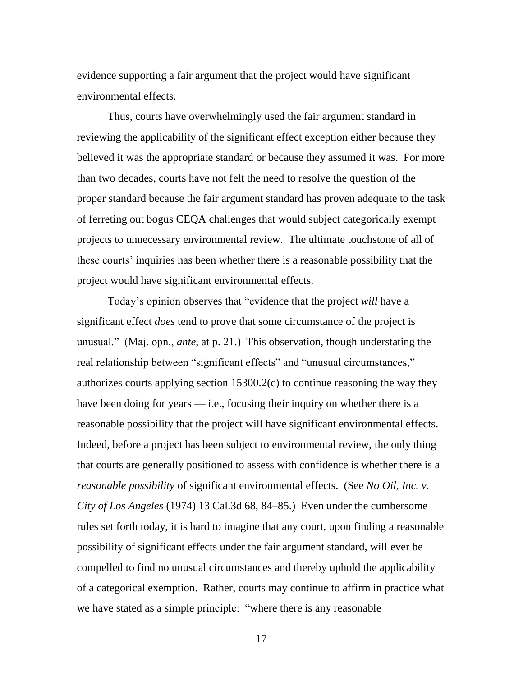evidence supporting a fair argument that the project would have significant environmental effects.

Thus, courts have overwhelmingly used the fair argument standard in reviewing the applicability of the significant effect exception either because they believed it was the appropriate standard or because they assumed it was. For more than two decades, courts have not felt the need to resolve the question of the proper standard because the fair argument standard has proven adequate to the task of ferreting out bogus CEQA challenges that would subject categorically exempt projects to unnecessary environmental review. The ultimate touchstone of all of these courts' inquiries has been whether there is a reasonable possibility that the project would have significant environmental effects.

Today's opinion observes that "evidence that the project *will* have a significant effect *does* tend to prove that some circumstance of the project is unusual.‖ (Maj. opn., *ante*, at p. 21.) This observation, though understating the real relationship between "significant effects" and "unusual circumstances," authorizes courts applying section 15300.2(c) to continue reasoning the way they have been doing for years  $-$  i.e., focusing their inquiry on whether there is a reasonable possibility that the project will have significant environmental effects. Indeed, before a project has been subject to environmental review, the only thing that courts are generally positioned to assess with confidence is whether there is a *reasonable possibility* of significant environmental effects. (See *No Oil, Inc. v. City of Los Angeles* (1974) 13 Cal.3d 68, 84–85.) Even under the cumbersome rules set forth today, it is hard to imagine that any court, upon finding a reasonable possibility of significant effects under the fair argument standard, will ever be compelled to find no unusual circumstances and thereby uphold the applicability of a categorical exemption. Rather, courts may continue to affirm in practice what we have stated as a simple principle: "where there is any reasonable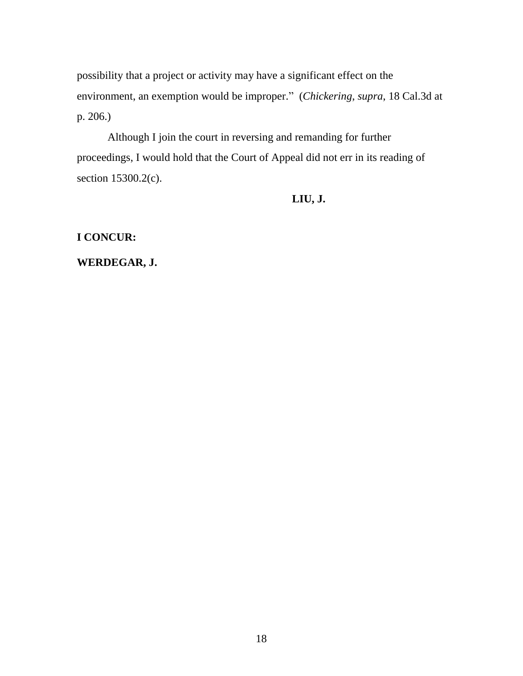possibility that a project or activity may have a significant effect on the environment, an exemption would be improper.‖ (*Chickering*, *supra*, 18 Cal.3d at p. 206.)

Although I join the court in reversing and remanding for further proceedings, I would hold that the Court of Appeal did not err in its reading of section 15300.2(c).

**LIU, J.**

**I CONCUR:**

**WERDEGAR, J.**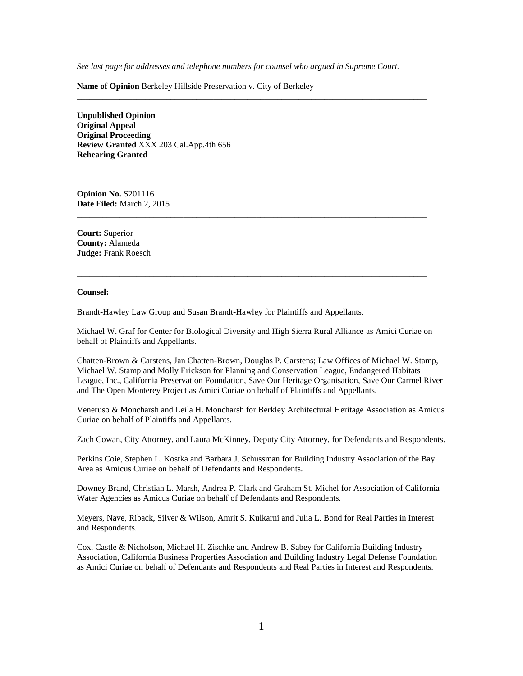*See last page for addresses and telephone numbers for counsel who argued in Supreme Court.*

**\_\_\_\_\_\_\_\_\_\_\_\_\_\_\_\_\_\_\_\_\_\_\_\_\_\_\_\_\_\_\_\_\_\_\_\_\_\_\_\_\_\_\_\_\_\_\_\_\_\_\_\_\_\_\_\_\_\_\_\_\_\_\_\_\_\_\_\_\_\_\_\_\_\_\_\_\_\_\_\_\_\_**

**\_\_\_\_\_\_\_\_\_\_\_\_\_\_\_\_\_\_\_\_\_\_\_\_\_\_\_\_\_\_\_\_\_\_\_\_\_\_\_\_\_\_\_\_\_\_\_\_\_\_\_\_\_\_\_\_\_\_\_\_\_\_\_\_\_\_\_\_\_\_\_\_\_\_\_\_\_\_\_\_\_\_**

**\_\_\_\_\_\_\_\_\_\_\_\_\_\_\_\_\_\_\_\_\_\_\_\_\_\_\_\_\_\_\_\_\_\_\_\_\_\_\_\_\_\_\_\_\_\_\_\_\_\_\_\_\_\_\_\_\_\_\_\_\_\_\_\_\_\_\_\_\_\_\_\_\_\_\_\_\_\_\_\_\_\_**

**\_\_\_\_\_\_\_\_\_\_\_\_\_\_\_\_\_\_\_\_\_\_\_\_\_\_\_\_\_\_\_\_\_\_\_\_\_\_\_\_\_\_\_\_\_\_\_\_\_\_\_\_\_\_\_\_\_\_\_\_\_\_\_\_\_\_\_\_\_\_\_\_\_\_\_\_\_\_\_\_\_\_**

**Name of Opinion** Berkeley Hillside Preservation v. City of Berkeley

**Unpublished Opinion Original Appeal Original Proceeding Review Granted** XXX 203 Cal.App.4th 656 **Rehearing Granted**

**Opinion No.** S201116 **Date Filed:** March 2, 2015

**Court:** Superior **County:** Alameda **Judge:** Frank Roesch

#### **Counsel:**

Brandt-Hawley Law Group and Susan Brandt-Hawley for Plaintiffs and Appellants.

Michael W. Graf for Center for Biological Diversity and High Sierra Rural Alliance as Amici Curiae on behalf of Plaintiffs and Appellants.

Chatten-Brown & Carstens, Jan Chatten-Brown, Douglas P. Carstens; Law Offices of Michael W. Stamp, Michael W. Stamp and Molly Erickson for Planning and Conservation League, Endangered Habitats League, Inc., California Preservation Foundation, Save Our Heritage Organisation, Save Our Carmel River and The Open Monterey Project as Amici Curiae on behalf of Plaintiffs and Appellants.

Veneruso & Moncharsh and Leila H. Moncharsh for Berkley Architectural Heritage Association as Amicus Curiae on behalf of Plaintiffs and Appellants.

Zach Cowan, City Attorney, and Laura McKinney, Deputy City Attorney, for Defendants and Respondents.

Perkins Coie, Stephen L. Kostka and Barbara J. Schussman for Building Industry Association of the Bay Area as Amicus Curiae on behalf of Defendants and Respondents.

Downey Brand, Christian L. Marsh, Andrea P. Clark and Graham St. Michel for Association of California Water Agencies as Amicus Curiae on behalf of Defendants and Respondents.

Meyers, Nave, Riback, Silver & Wilson, Amrit S. Kulkarni and Julia L. Bond for Real Parties in Interest and Respondents.

Cox, Castle & Nicholson, Michael H. Zischke and Andrew B. Sabey for California Building Industry Association, California Business Properties Association and Building Industry Legal Defense Foundation as Amici Curiae on behalf of Defendants and Respondents and Real Parties in Interest and Respondents.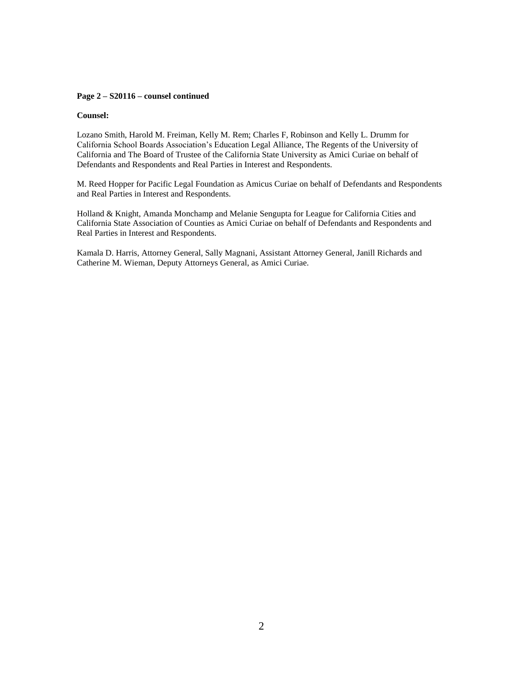#### **Page 2 – S20116 – counsel continued**

#### **Counsel:**

Lozano Smith, Harold M. Freiman, Kelly M. Rem; Charles F, Robinson and Kelly L. Drumm for California School Boards Association's Education Legal Alliance, The Regents of the University of California and The Board of Trustee of the California State University as Amici Curiae on behalf of Defendants and Respondents and Real Parties in Interest and Respondents.

M. Reed Hopper for Pacific Legal Foundation as Amicus Curiae on behalf of Defendants and Respondents and Real Parties in Interest and Respondents.

Holland & Knight, Amanda Monchamp and Melanie Sengupta for League for California Cities and California State Association of Counties as Amici Curiae on behalf of Defendants and Respondents and Real Parties in Interest and Respondents.

Kamala D. Harris, Attorney General, Sally Magnani, Assistant Attorney General, Janill Richards and Catherine M. Wieman, Deputy Attorneys General, as Amici Curiae.